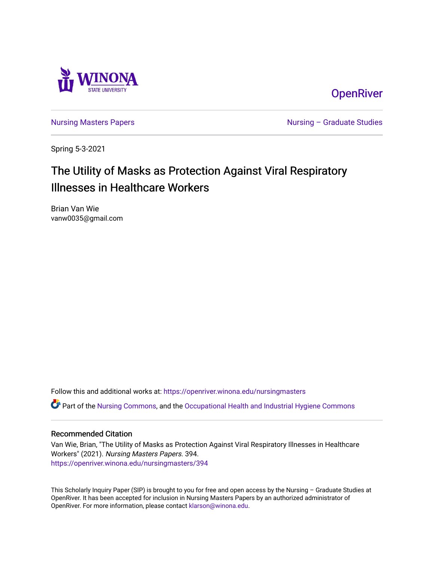

**OpenRiver** 

[Nursing Masters Papers](https://openriver.winona.edu/nursingmasters) **Nursing – Graduate Studies** 

Spring 5-3-2021

# The Utility of Masks as Protection Against Viral Respiratory Illnesses in Healthcare Workers

Brian Van Wie vanw0035@gmail.com

Follow this and additional works at: [https://openriver.winona.edu/nursingmasters](https://openriver.winona.edu/nursingmasters?utm_source=openriver.winona.edu%2Fnursingmasters%2F394&utm_medium=PDF&utm_campaign=PDFCoverPages) 

Part of the [Nursing Commons,](http://network.bepress.com/hgg/discipline/718?utm_source=openriver.winona.edu%2Fnursingmasters%2F394&utm_medium=PDF&utm_campaign=PDFCoverPages) and the [Occupational Health and Industrial Hygiene Commons](http://network.bepress.com/hgg/discipline/742?utm_source=openriver.winona.edu%2Fnursingmasters%2F394&utm_medium=PDF&utm_campaign=PDFCoverPages) 

### Recommended Citation

Van Wie, Brian, "The Utility of Masks as Protection Against Viral Respiratory Illnesses in Healthcare Workers" (2021). Nursing Masters Papers. 394. [https://openriver.winona.edu/nursingmasters/394](https://openriver.winona.edu/nursingmasters/394?utm_source=openriver.winona.edu%2Fnursingmasters%2F394&utm_medium=PDF&utm_campaign=PDFCoverPages) 

This Scholarly Inquiry Paper (SIP) is brought to you for free and open access by the Nursing – Graduate Studies at OpenRiver. It has been accepted for inclusion in Nursing Masters Papers by an authorized administrator of OpenRiver. For more information, please contact [klarson@winona.edu](mailto:klarson@winona.edu).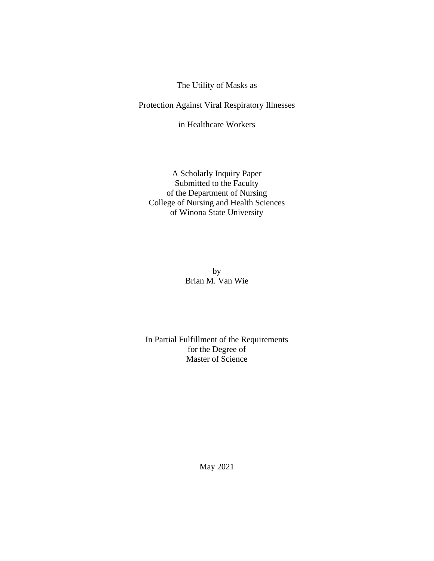The Utility of Masks as

Protection Against Viral Respiratory Illnesses

in Healthcare Workers

A Scholarly Inquiry Paper Submitted to the Faculty of the Department of Nursing College of Nursing and Health Sciences of Winona State University

> by Brian M. Van Wie

In Partial Fulfillment of the Requirements for the Degree of Master of Science

May 2021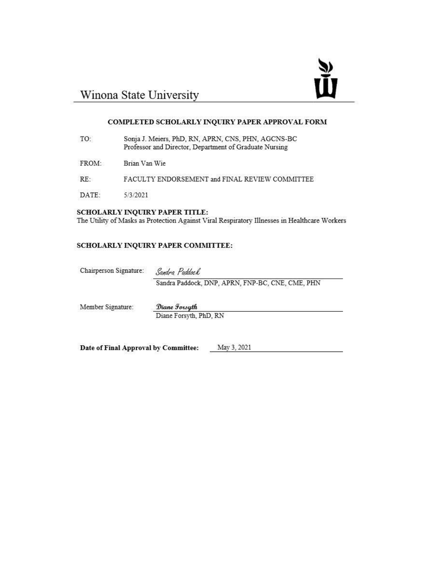

# Winona State University

#### COMPLETED SCHOLARLY INQUIRY PAPER APPROVAL FORM

- TO: Sonja J. Meiers, PhD, RN, APRN, CNS, PHN, AGCNS-BC Professor and Director, Department of Graduate Nursing
- FROM: Brian Van Wie
- RE: FACULTY ENDORSEMENT and FINAL REVIEW COMMITTEE
- DATE: 5/3/2021

#### SCHOLARLY INQUIRY PAPER TITLE:

The Utility of Masks as Protection Against Viral Respiratory Illnesses in Healthcare Workers

### SCHOLARLY INQUIRY PAPER COMMITTEE:

Chairperson Signature:

Sandra Paddock

Sandra Paddock, DNP, APRN, FNP-BC, CNE, CME, PHN

Member Signature:

Diane Forsyth

Diane Forsyth, PhD, RN

Date of Final Approval by Committee:

May 3, 2021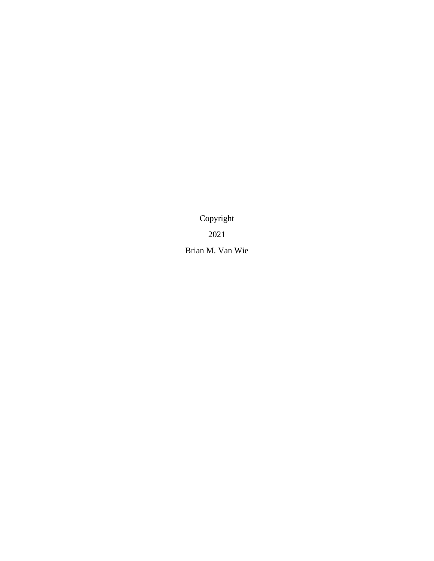Copyright 2021 Brian M. Van Wie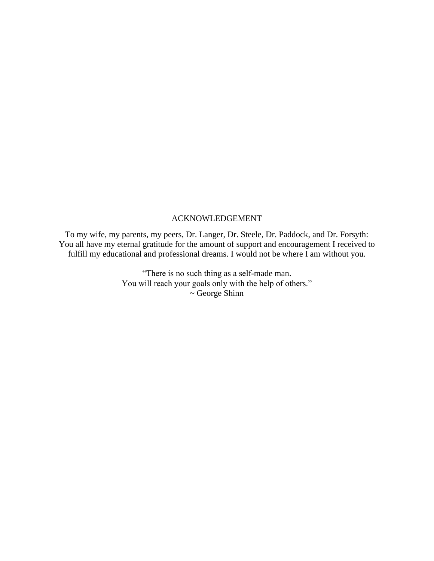### ACKNOWLEDGEMENT

To my wife, my parents, my peers, Dr. Langer, Dr. Steele, Dr. Paddock, and Dr. Forsyth: You all have my eternal gratitude for the amount of support and encouragement I received to fulfill my educational and professional dreams. I would not be where I am without you.

> "There is no such thing as a self-made man. You will reach your goals only with the help of others."  $\sim$  George Shinn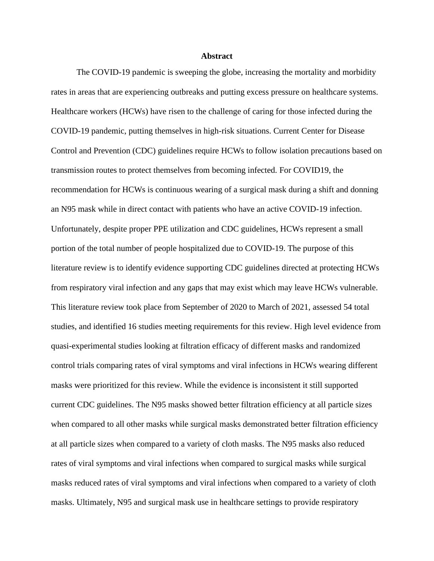#### **Abstract**

The COVID-19 pandemic is sweeping the globe, increasing the mortality and morbidity rates in areas that are experiencing outbreaks and putting excess pressure on healthcare systems. Healthcare workers (HCWs) have risen to the challenge of caring for those infected during the COVID-19 pandemic, putting themselves in high-risk situations. Current Center for Disease Control and Prevention (CDC) guidelines require HCWs to follow isolation precautions based on transmission routes to protect themselves from becoming infected. For COVID19, the recommendation for HCWs is continuous wearing of a surgical mask during a shift and donning an N95 mask while in direct contact with patients who have an active COVID-19 infection. Unfortunately, despite proper PPE utilization and CDC guidelines, HCWs represent a small portion of the total number of people hospitalized due to COVID-19. The purpose of this literature review is to identify evidence supporting CDC guidelines directed at protecting HCWs from respiratory viral infection and any gaps that may exist which may leave HCWs vulnerable. This literature review took place from September of 2020 to March of 2021, assessed 54 total studies, and identified 16 studies meeting requirements for this review. High level evidence from quasi-experimental studies looking at filtration efficacy of different masks and randomized control trials comparing rates of viral symptoms and viral infections in HCWs wearing different masks were prioritized for this review. While the evidence is inconsistent it still supported current CDC guidelines. The N95 masks showed better filtration efficiency at all particle sizes when compared to all other masks while surgical masks demonstrated better filtration efficiency at all particle sizes when compared to a variety of cloth masks. The N95 masks also reduced rates of viral symptoms and viral infections when compared to surgical masks while surgical masks reduced rates of viral symptoms and viral infections when compared to a variety of cloth masks. Ultimately, N95 and surgical mask use in healthcare settings to provide respiratory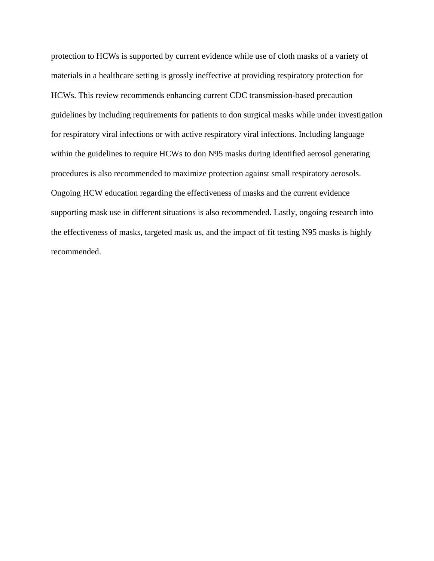protection to HCWs is supported by current evidence while use of cloth masks of a variety of materials in a healthcare setting is grossly ineffective at providing respiratory protection for HCWs. This review recommends enhancing current CDC transmission-based precaution guidelines by including requirements for patients to don surgical masks while under investigation for respiratory viral infections or with active respiratory viral infections. Including language within the guidelines to require HCWs to don N95 masks during identified aerosol generating procedures is also recommended to maximize protection against small respiratory aerosols. Ongoing HCW education regarding the effectiveness of masks and the current evidence supporting mask use in different situations is also recommended. Lastly, ongoing research into the effectiveness of masks, targeted mask us, and the impact of fit testing N95 masks is highly recommended.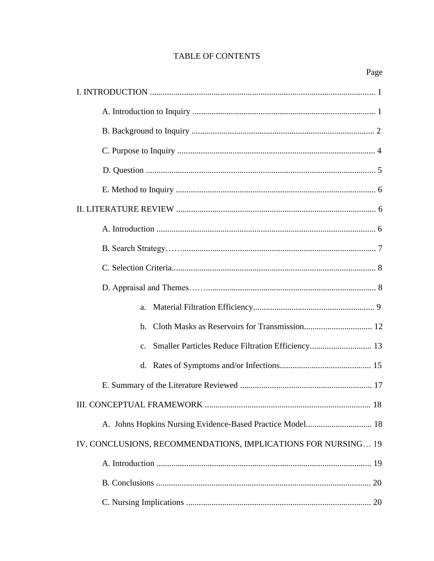# TABLE OF CONTENTS

| a.                                                                  |
|---------------------------------------------------------------------|
| $h_{\cdot}$                                                         |
| Smaller Particles Reduce Filtration Efficiency 13<br>$\mathbf{c}$ . |
|                                                                     |
|                                                                     |
|                                                                     |
| A. Johns Hopkins Nursing Evidence-Based Practice Model 18           |
| IV. CONCLUSIONS, RECOMMENDATIONS, IMPLICATIONS FOR NURSING 19       |
|                                                                     |
|                                                                     |
|                                                                     |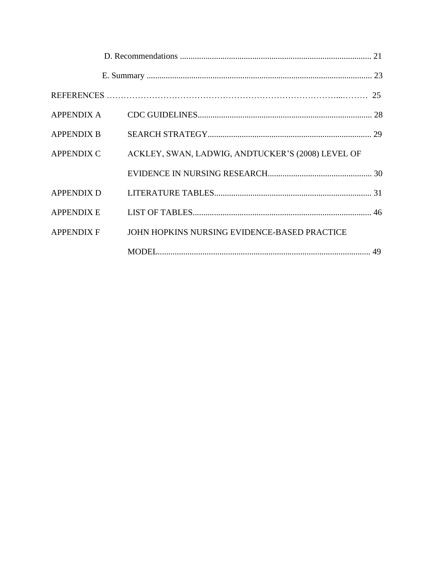| <b>APPENDIX A</b> |                                                   |  |
|-------------------|---------------------------------------------------|--|
| <b>APPENDIX B</b> |                                                   |  |
| <b>APPENDIX C</b> | ACKLEY, SWAN, LADWIG, ANDTUCKER'S (2008) LEVEL OF |  |
|                   |                                                   |  |
| <b>APPENDIX D</b> |                                                   |  |
| <b>APPENDIX E</b> |                                                   |  |
| APPENDIX F        | JOHN HOPKINS NURSING EVIDENCE-BASED PRACTICE      |  |
|                   |                                                   |  |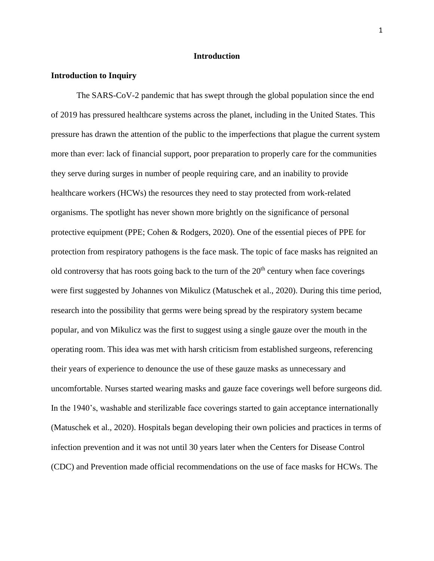#### **Introduction**

#### **Introduction to Inquiry**

The SARS-CoV-2 pandemic that has swept through the global population since the end of 2019 has pressured healthcare systems across the planet, including in the United States. This pressure has drawn the attention of the public to the imperfections that plague the current system more than ever: lack of financial support, poor preparation to properly care for the communities they serve during surges in number of people requiring care, and an inability to provide healthcare workers (HCWs) the resources they need to stay protected from work-related organisms. The spotlight has never shown more brightly on the significance of personal protective equipment (PPE; Cohen & Rodgers, 2020). One of the essential pieces of PPE for protection from respiratory pathogens is the face mask. The topic of face masks has reignited an old controversy that has roots going back to the turn of the  $20<sup>th</sup>$  century when face coverings were first suggested by Johannes von Mikulicz (Matuschek et al., 2020). During this time period, research into the possibility that germs were being spread by the respiratory system became popular, and von Mikulicz was the first to suggest using a single gauze over the mouth in the operating room. This idea was met with harsh criticism from established surgeons, referencing their years of experience to denounce the use of these gauze masks as unnecessary and uncomfortable. Nurses started wearing masks and gauze face coverings well before surgeons did. In the 1940's, washable and sterilizable face coverings started to gain acceptance internationally (Matuschek et al., 2020). Hospitals began developing their own policies and practices in terms of infection prevention and it was not until 30 years later when the Centers for Disease Control (CDC) and Prevention made official recommendations on the use of face masks for HCWs. The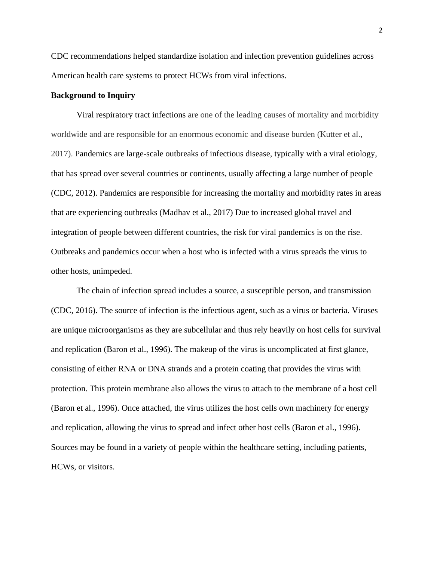CDC recommendations helped standardize isolation and infection prevention guidelines across American health care systems to protect HCWs from viral infections.

### **Background to Inquiry**

Viral respiratory tract infections are one of the leading causes of mortality and morbidity worldwide and are responsible for an enormous economic and disease burden (Kutter et al., 2017). Pandemics are large-scale outbreaks of infectious disease, typically with a viral etiology, that has spread over several countries or continents, usually affecting a large number of people (CDC, 2012). Pandemics are responsible for increasing the mortality and morbidity rates in areas that are experiencing outbreaks (Madhav et al., 2017) Due to increased global travel and integration of people between different countries, the risk for viral pandemics is on the rise. Outbreaks and pandemics occur when a host who is infected with a virus spreads the virus to other hosts, unimpeded.

The chain of infection spread includes a source, a susceptible person, and transmission (CDC, 2016). The source of infection is the infectious agent, such as a virus or bacteria. Viruses are unique microorganisms as they are subcellular and thus rely heavily on host cells for survival and replication (Baron et al., 1996). The makeup of the virus is uncomplicated at first glance, consisting of either RNA or DNA strands and a protein coating that provides the virus with protection. This protein membrane also allows the virus to attach to the membrane of a host cell (Baron et al., 1996). Once attached, the virus utilizes the host cells own machinery for energy and replication, allowing the virus to spread and infect other host cells (Baron et al., 1996). Sources may be found in a variety of people within the healthcare setting, including patients, HCWs, or visitors.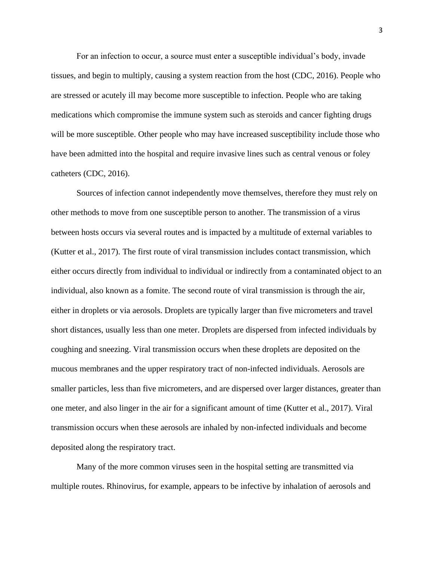For an infection to occur, a source must enter a susceptible individual's body, invade tissues, and begin to multiply, causing a system reaction from the host (CDC, 2016). People who are stressed or acutely ill may become more susceptible to infection. People who are taking medications which compromise the immune system such as steroids and cancer fighting drugs will be more susceptible. Other people who may have increased susceptibility include those who have been admitted into the hospital and require invasive lines such as central venous or foley catheters (CDC, 2016).

Sources of infection cannot independently move themselves, therefore they must rely on other methods to move from one susceptible person to another. The transmission of a virus between hosts occurs via several routes and is impacted by a multitude of external variables to (Kutter et al., 2017). The first route of viral transmission includes contact transmission, which either occurs directly from individual to individual or indirectly from a contaminated object to an individual, also known as a fomite. The second route of viral transmission is through the air, either in droplets or via aerosols. Droplets are typically larger than five micrometers and travel short distances, usually less than one meter. Droplets are dispersed from infected individuals by coughing and sneezing. Viral transmission occurs when these droplets are deposited on the mucous membranes and the upper respiratory tract of non-infected individuals. Aerosols are smaller particles, less than five micrometers, and are dispersed over larger distances, greater than one meter, and also linger in the air for a significant amount of time (Kutter et al., 2017). Viral transmission occurs when these aerosols are inhaled by non-infected individuals and become deposited along the respiratory tract.

Many of the more common viruses seen in the hospital setting are transmitted via multiple routes. Rhinovirus, for example, appears to be infective by inhalation of aerosols and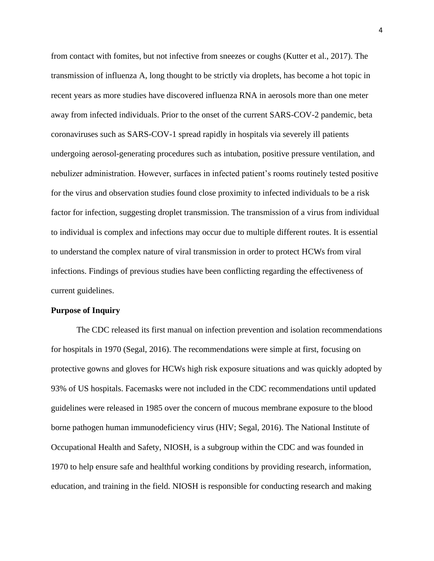from contact with fomites, but not infective from sneezes or coughs (Kutter et al., 2017). The transmission of influenza A, long thought to be strictly via droplets, has become a hot topic in recent years as more studies have discovered influenza RNA in aerosols more than one meter away from infected individuals. Prior to the onset of the current SARS-COV-2 pandemic, beta coronaviruses such as SARS-COV-1 spread rapidly in hospitals via severely ill patients undergoing aerosol-generating procedures such as intubation, positive pressure ventilation, and nebulizer administration. However, surfaces in infected patient's rooms routinely tested positive for the virus and observation studies found close proximity to infected individuals to be a risk factor for infection, suggesting droplet transmission. The transmission of a virus from individual to individual is complex and infections may occur due to multiple different routes. It is essential to understand the complex nature of viral transmission in order to protect HCWs from viral infections. Findings of previous studies have been conflicting regarding the effectiveness of current guidelines.

#### **Purpose of Inquiry**

The CDC released its first manual on infection prevention and isolation recommendations for hospitals in 1970 (Segal, 2016). The recommendations were simple at first, focusing on protective gowns and gloves for HCWs high risk exposure situations and was quickly adopted by 93% of US hospitals. Facemasks were not included in the CDC recommendations until updated guidelines were released in 1985 over the concern of mucous membrane exposure to the blood borne pathogen human immunodeficiency virus (HIV; Segal, 2016). The National Institute of Occupational Health and Safety, NIOSH, is a subgroup within the CDC and was founded in 1970 to help ensure safe and healthful working conditions by providing research, information, education, and training in the field. NIOSH is responsible for conducting research and making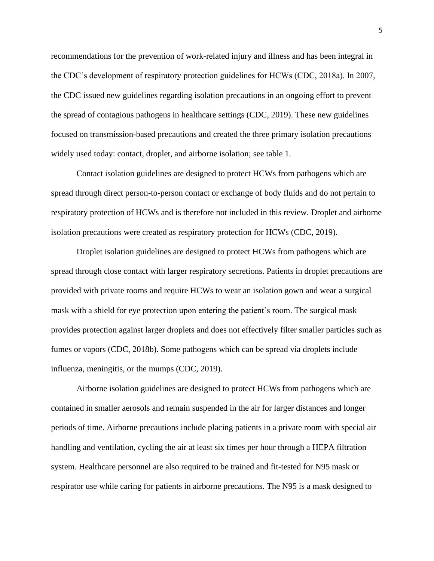recommendations for the prevention of work-related injury and illness and has been integral in the CDC's development of respiratory protection guidelines for HCWs (CDC, 2018a). In 2007, the CDC issued new guidelines regarding isolation precautions in an ongoing effort to prevent the spread of contagious pathogens in healthcare settings (CDC, 2019). These new guidelines focused on transmission-based precautions and created the three primary isolation precautions widely used today: contact, droplet, and airborne isolation; see table 1.

Contact isolation guidelines are designed to protect HCWs from pathogens which are spread through direct person-to-person contact or exchange of body fluids and do not pertain to respiratory protection of HCWs and is therefore not included in this review. Droplet and airborne isolation precautions were created as respiratory protection for HCWs (CDC, 2019).

Droplet isolation guidelines are designed to protect HCWs from pathogens which are spread through close contact with larger respiratory secretions. Patients in droplet precautions are provided with private rooms and require HCWs to wear an isolation gown and wear a surgical mask with a shield for eye protection upon entering the patient's room. The surgical mask provides protection against larger droplets and does not effectively filter smaller particles such as fumes or vapors (CDC, 2018b). Some pathogens which can be spread via droplets include influenza, meningitis, or the mumps (CDC, 2019).

Airborne isolation guidelines are designed to protect HCWs from pathogens which are contained in smaller aerosols and remain suspended in the air for larger distances and longer periods of time. Airborne precautions include placing patients in a private room with special air handling and ventilation, cycling the air at least six times per hour through a HEPA filtration system. Healthcare personnel are also required to be trained and fit-tested for N95 mask or respirator use while caring for patients in airborne precautions. The N95 is a mask designed to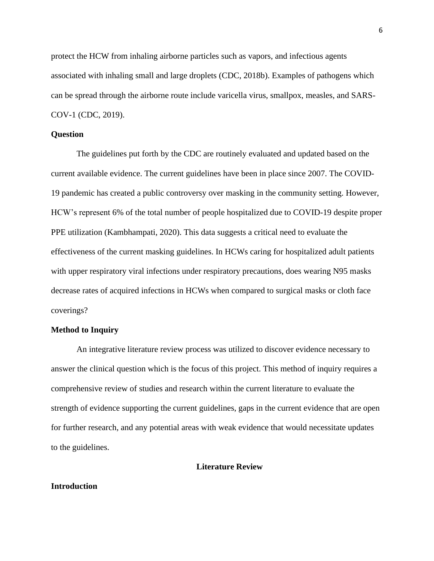protect the HCW from inhaling airborne particles such as vapors, and infectious agents associated with inhaling small and large droplets (CDC, 2018b). Examples of pathogens which can be spread through the airborne route include varicella virus, smallpox, measles, and SARS-COV-1 (CDC, 2019).

#### **Question**

The guidelines put forth by the CDC are routinely evaluated and updated based on the current available evidence. The current guidelines have been in place since 2007. The COVID-19 pandemic has created a public controversy over masking in the community setting. However, HCW's represent 6% of the total number of people hospitalized due to COVID-19 despite proper PPE utilization (Kambhampati, 2020). This data suggests a critical need to evaluate the effectiveness of the current masking guidelines. In HCWs caring for hospitalized adult patients with upper respiratory viral infections under respiratory precautions, does wearing N95 masks decrease rates of acquired infections in HCWs when compared to surgical masks or cloth face coverings?

#### **Method to Inquiry**

An integrative literature review process was utilized to discover evidence necessary to answer the clinical question which is the focus of this project. This method of inquiry requires a comprehensive review of studies and research within the current literature to evaluate the strength of evidence supporting the current guidelines, gaps in the current evidence that are open for further research, and any potential areas with weak evidence that would necessitate updates to the guidelines.

### **Literature Review**

#### **Introduction**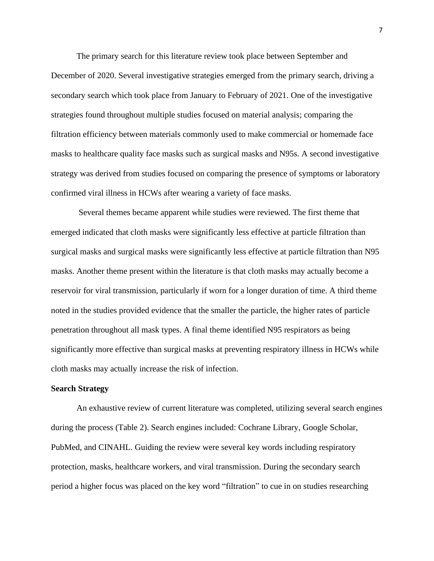The primary search for this literature review took place between September and December of 2020. Several investigative strategies emerged from the primary search, driving a secondary search which took place from January to February of 2021. One of the investigative strategies found throughout multiple studies focused on material analysis; comparing the filtration efficiency between materials commonly used to make commercial or homemade face masks to healthcare quality face masks such as surgical masks and N95s. A second investigative strategy was derived from studies focused on comparing the presence of symptoms or laboratory confirmed viral illness in HCWs after wearing a variety of face masks.

Several themes became apparent while studies were reviewed. The first theme that emerged indicated that cloth masks were significantly less effective at particle filtration than surgical masks and surgical masks were significantly less effective at particle filtration than N95 masks. Another theme present within the literature is that cloth masks may actually become a reservoir for viral transmission, particularly if worn for a longer duration of time. A third theme noted in the studies provided evidence that the smaller the particle, the higher rates of particle penetration throughout all mask types. A final theme identified N95 respirators as being significantly more effective than surgical masks at preventing respiratory illness in HCWs while cloth masks may actually increase the risk of infection.

#### **Search Strategy**

An exhaustive review of current literature was completed, utilizing several search engines during the process (Table 2). Search engines included: Cochrane Library, Google Scholar, PubMed, and CINAHL. Guiding the review were several key words including respiratory protection, masks, healthcare workers, and viral transmission. During the secondary search period a higher focus was placed on the key word "filtration" to cue in on studies researching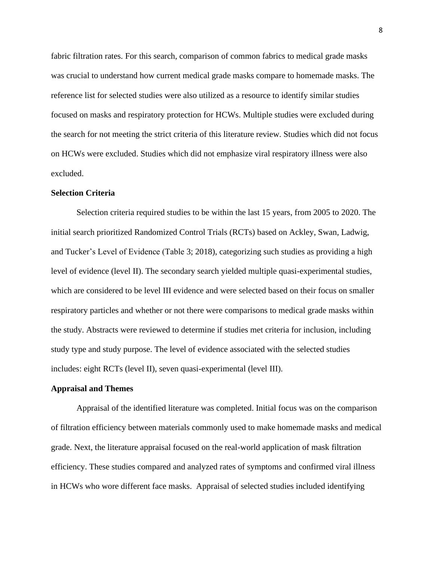fabric filtration rates. For this search, comparison of common fabrics to medical grade masks was crucial to understand how current medical grade masks compare to homemade masks. The reference list for selected studies were also utilized as a resource to identify similar studies focused on masks and respiratory protection for HCWs. Multiple studies were excluded during the search for not meeting the strict criteria of this literature review. Studies which did not focus on HCWs were excluded. Studies which did not emphasize viral respiratory illness were also excluded.

#### **Selection Criteria**

Selection criteria required studies to be within the last 15 years, from 2005 to 2020. The initial search prioritized Randomized Control Trials (RCTs) based on Ackley, Swan, Ladwig, and Tucker's Level of Evidence (Table 3; 2018), categorizing such studies as providing a high level of evidence (level II). The secondary search yielded multiple quasi-experimental studies, which are considered to be level III evidence and were selected based on their focus on smaller respiratory particles and whether or not there were comparisons to medical grade masks within the study. Abstracts were reviewed to determine if studies met criteria for inclusion, including study type and study purpose. The level of evidence associated with the selected studies includes: eight RCTs (level II), seven quasi-experimental (level III).

#### **Appraisal and Themes**

Appraisal of the identified literature was completed. Initial focus was on the comparison of filtration efficiency between materials commonly used to make homemade masks and medical grade. Next, the literature appraisal focused on the real-world application of mask filtration efficiency. These studies compared and analyzed rates of symptoms and confirmed viral illness in HCWs who wore different face masks. Appraisal of selected studies included identifying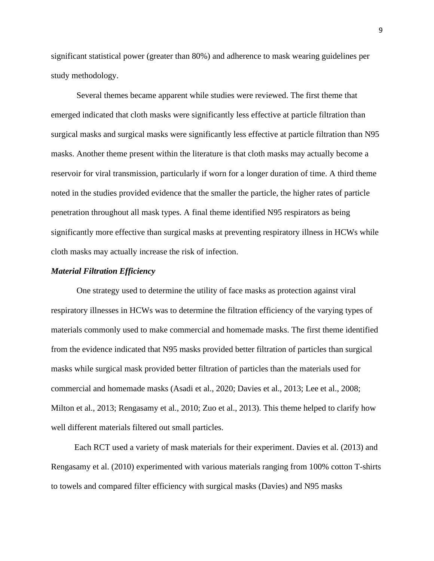significant statistical power (greater than 80%) and adherence to mask wearing guidelines per study methodology.

Several themes became apparent while studies were reviewed. The first theme that emerged indicated that cloth masks were significantly less effective at particle filtration than surgical masks and surgical masks were significantly less effective at particle filtration than N95 masks. Another theme present within the literature is that cloth masks may actually become a reservoir for viral transmission, particularly if worn for a longer duration of time. A third theme noted in the studies provided evidence that the smaller the particle, the higher rates of particle penetration throughout all mask types. A final theme identified N95 respirators as being significantly more effective than surgical masks at preventing respiratory illness in HCWs while cloth masks may actually increase the risk of infection.

### *Material Filtration Efficiency*

One strategy used to determine the utility of face masks as protection against viral respiratory illnesses in HCWs was to determine the filtration efficiency of the varying types of materials commonly used to make commercial and homemade masks. The first theme identified from the evidence indicated that N95 masks provided better filtration of particles than surgical masks while surgical mask provided better filtration of particles than the materials used for commercial and homemade masks (Asadi et al., 2020; Davies et al., 2013; Lee et al., 2008; Milton et al., 2013; Rengasamy et al., 2010; Zuo et al., 2013). This theme helped to clarify how well different materials filtered out small particles.

 Each RCT used a variety of mask materials for their experiment. Davies et al. (2013) and Rengasamy et al. (2010) experimented with various materials ranging from 100% cotton T-shirts to towels and compared filter efficiency with surgical masks (Davies) and N95 masks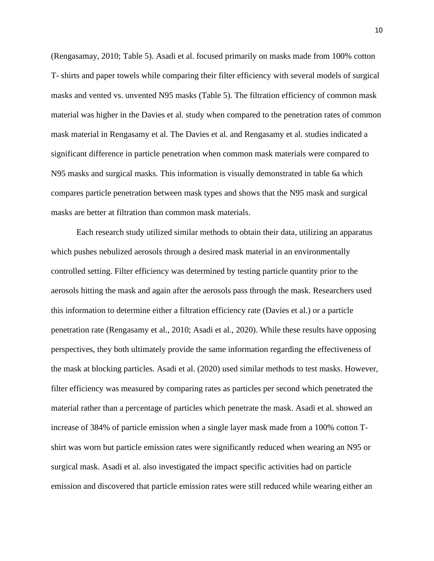(Rengasamay, 2010; Table 5). Asadi et al. focused primarily on masks made from 100% cotton T- shirts and paper towels while comparing their filter efficiency with several models of surgical masks and vented vs. unvented N95 masks (Table 5). The filtration efficiency of common mask material was higher in the Davies et al. study when compared to the penetration rates of common mask material in Rengasamy et al. The Davies et al. and Rengasamy et al. studies indicated a significant difference in particle penetration when common mask materials were compared to N95 masks and surgical masks. This information is visually demonstrated in table 6a which compares particle penetration between mask types and shows that the N95 mask and surgical masks are better at filtration than common mask materials.

Each research study utilized similar methods to obtain their data, utilizing an apparatus which pushes nebulized aerosols through a desired mask material in an environmentally controlled setting. Filter efficiency was determined by testing particle quantity prior to the aerosols hitting the mask and again after the aerosols pass through the mask. Researchers used this information to determine either a filtration efficiency rate (Davies et al.) or a particle penetration rate (Rengasamy et al., 2010; Asadi et al., 2020). While these results have opposing perspectives, they both ultimately provide the same information regarding the effectiveness of the mask at blocking particles. Asadi et al. (2020) used similar methods to test masks. However, filter efficiency was measured by comparing rates as particles per second which penetrated the material rather than a percentage of particles which penetrate the mask. Asadi et al. showed an increase of 384% of particle emission when a single layer mask made from a 100% cotton Tshirt was worn but particle emission rates were significantly reduced when wearing an N95 or surgical mask. Asadi et al. also investigated the impact specific activities had on particle emission and discovered that particle emission rates were still reduced while wearing either an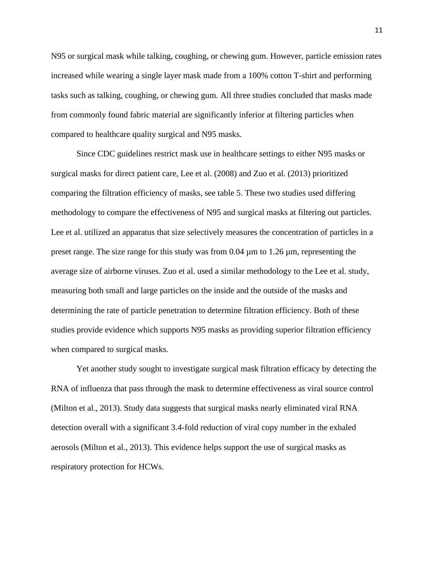N95 or surgical mask while talking, coughing, or chewing gum. However, particle emission rates increased while wearing a single layer mask made from a 100% cotton T-shirt and performing tasks such as talking, coughing, or chewing gum. All three studies concluded that masks made from commonly found fabric material are significantly inferior at filtering particles when compared to healthcare quality surgical and N95 masks.

Since CDC guidelines restrict mask use in healthcare settings to either N95 masks or surgical masks for direct patient care, Lee et al. (2008) and Zuo et al. (2013) prioritized comparing the filtration efficiency of masks, see table 5. These two studies used differing methodology to compare the effectiveness of N95 and surgical masks at filtering out particles. Lee et al. utilized an apparatus that size selectively measures the concentration of particles in a preset range. The size range for this study was from  $0.04 \mu m$  to  $1.26 \mu m$ , representing the average size of airborne viruses. Zuo et al. used a similar methodology to the Lee et al. study, measuring both small and large particles on the inside and the outside of the masks and determining the rate of particle penetration to determine filtration efficiency. Both of these studies provide evidence which supports N95 masks as providing superior filtration efficiency when compared to surgical masks.

Yet another study sought to investigate surgical mask filtration efficacy by detecting the RNA of influenza that pass through the mask to determine effectiveness as viral source control (Milton et al., 2013). Study data suggests that surgical masks nearly eliminated viral RNA detection overall with a significant 3.4-fold reduction of viral copy number in the exhaled aerosols (Milton et al., 2013). This evidence helps support the use of surgical masks as respiratory protection for HCWs.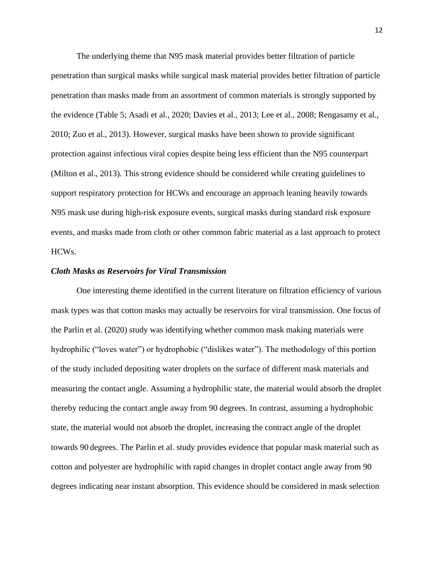The underlying theme that N95 mask material provides better filtration of particle penetration than surgical masks while surgical mask material provides better filtration of particle penetration than masks made from an assortment of common materials is strongly supported by the evidence (Table 5; Asadi et al., 2020; Davies et al., 2013; Lee et al., 2008; Rengasamy et al., 2010; Zuo et al., 2013). However, surgical masks have been shown to provide significant protection against infectious viral copies despite being less efficient than the N95 counterpart (Milton et al., 2013). This strong evidence should be considered while creating guidelines to support respiratory protection for HCWs and encourage an approach leaning heavily towards N95 mask use during high-risk exposure events, surgical masks during standard risk exposure events, and masks made from cloth or other common fabric material as a last approach to protect HCWs.

#### *Cloth Masks as Reservoirs for Viral Transmission*

One interesting theme identified in the current literature on filtration efficiency of various mask types was that cotton masks may actually be reservoirs for viral transmission. One focus of the Parlin et al. (2020) study was identifying whether common mask making materials were hydrophilic ("loves water") or hydrophobic ("dislikes water"). The methodology of this portion of the study included depositing water droplets on the surface of different mask materials and measuring the contact angle. Assuming a hydrophilic state, the material would absorb the droplet thereby reducing the contact angle away from 90 degrees. In contrast, assuming a hydrophobic state, the material would not absorb the droplet, increasing the contract angle of the droplet towards 90 degrees. The Parlin et al. study provides evidence that popular mask material such as cotton and polyester are hydrophilic with rapid changes in droplet contact angle away from 90 degrees indicating near instant absorption. This evidence should be considered in mask selection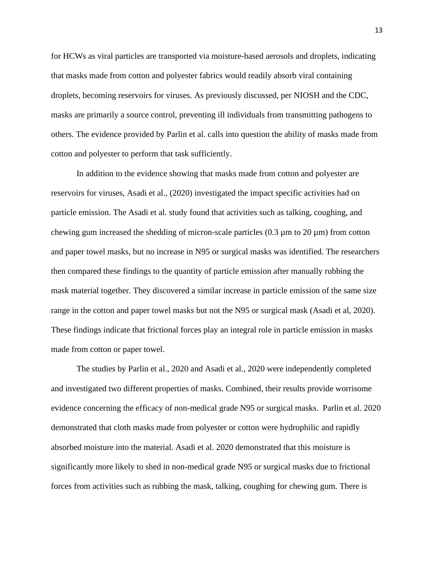for HCWs as viral particles are transported via moisture-based aerosols and droplets, indicating that masks made from cotton and polyester fabrics would readily absorb viral containing droplets, becoming reservoirs for viruses. As previously discussed, per NIOSH and the CDC, masks are primarily a source control, preventing ill individuals from transmitting pathogens to others. The evidence provided by Parlin et al. calls into question the ability of masks made from cotton and polyester to perform that task sufficiently.

In addition to the evidence showing that masks made from cotton and polyester are reservoirs for viruses, Asadi et al., (2020) investigated the impact specific activities had on particle emission. The Asadi et al. study found that activities such as talking, coughing, and chewing gum increased the shedding of micron-scale particles  $(0.3 \mu m)$  to  $(20 \mu m)$  from cotton and paper towel masks, but no increase in N95 or surgical masks was identified. The researchers then compared these findings to the quantity of particle emission after manually rubbing the mask material together. They discovered a similar increase in particle emission of the same size range in the cotton and paper towel masks but not the N95 or surgical mask (Asadi et al, 2020). These findings indicate that frictional forces play an integral role in particle emission in masks made from cotton or paper towel.

The studies by Parlin et al., 2020 and Asadi et al., 2020 were independently completed and investigated two different properties of masks. Combined, their results provide worrisome evidence concerning the efficacy of non-medical grade N95 or surgical masks. Parlin et al. 2020 demonstrated that cloth masks made from polyester or cotton were hydrophilic and rapidly absorbed moisture into the material. Asadi et al. 2020 demonstrated that this moisture is significantly more likely to shed in non-medical grade N95 or surgical masks due to frictional forces from activities such as rubbing the mask, talking, coughing for chewing gum. There is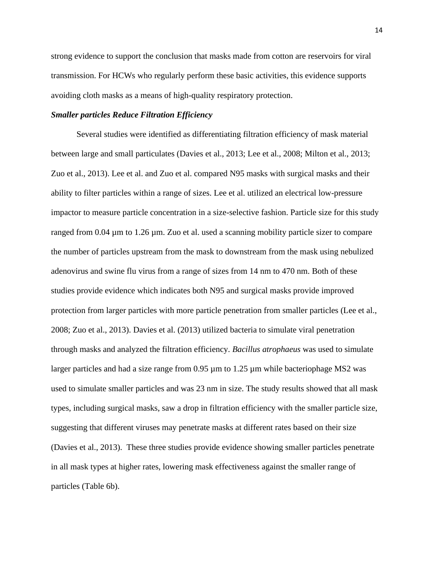strong evidence to support the conclusion that masks made from cotton are reservoirs for viral transmission. For HCWs who regularly perform these basic activities, this evidence supports avoiding cloth masks as a means of high-quality respiratory protection.

#### *Smaller particles Reduce Filtration Efficiency*

Several studies were identified as differentiating filtration efficiency of mask material between large and small particulates (Davies et al., 2013; Lee et al., 2008; Milton et al., 2013; Zuo et al., 2013). Lee et al. and Zuo et al. compared N95 masks with surgical masks and their ability to filter particles within a range of sizes. Lee et al. utilized an electrical low-pressure impactor to measure particle concentration in a size-selective fashion. Particle size for this study ranged from 0.04 µm to 1.26 µm. Zuo et al. used a scanning mobility particle sizer to compare the number of particles upstream from the mask to downstream from the mask using nebulized adenovirus and swine flu virus from a range of sizes from 14 nm to 470 nm. Both of these studies provide evidence which indicates both N95 and surgical masks provide improved protection from larger particles with more particle penetration from smaller particles (Lee et al., 2008; Zuo et al., 2013). Davies et al. (2013) utilized bacteria to simulate viral penetration through masks and analyzed the filtration efficiency. *Bacillus atrophaeus* was used to simulate larger particles and had a size range from 0.95 µm to 1.25 µm while bacteriophage MS2 was used to simulate smaller particles and was 23 nm in size. The study results showed that all mask types, including surgical masks, saw a drop in filtration efficiency with the smaller particle size, suggesting that different viruses may penetrate masks at different rates based on their size (Davies et al., 2013). These three studies provide evidence showing smaller particles penetrate in all mask types at higher rates, lowering mask effectiveness against the smaller range of particles (Table 6b).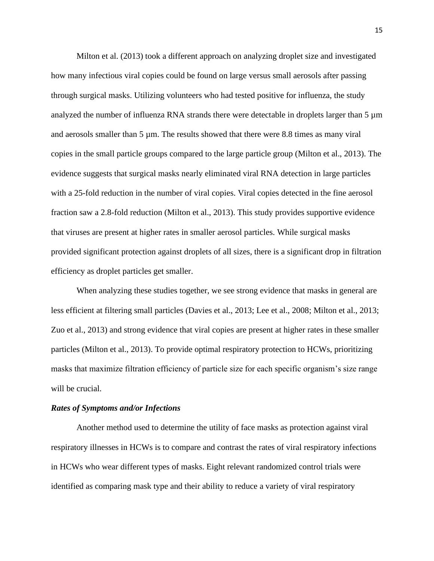Milton et al. (2013) took a different approach on analyzing droplet size and investigated how many infectious viral copies could be found on large versus small aerosols after passing through surgical masks. Utilizing volunteers who had tested positive for influenza, the study analyzed the number of influenza RNA strands there were detectable in droplets larger than  $5 \mu m$ and aerosols smaller than 5 µm. The results showed that there were 8.8 times as many viral copies in the small particle groups compared to the large particle group (Milton et al., 2013). The evidence suggests that surgical masks nearly eliminated viral RNA detection in large particles with a 25-fold reduction in the number of viral copies. Viral copies detected in the fine aerosol fraction saw a 2.8-fold reduction (Milton et al., 2013). This study provides supportive evidence that viruses are present at higher rates in smaller aerosol particles. While surgical masks provided significant protection against droplets of all sizes, there is a significant drop in filtration efficiency as droplet particles get smaller.

When analyzing these studies together, we see strong evidence that masks in general are less efficient at filtering small particles (Davies et al., 2013; Lee et al., 2008; Milton et al., 2013; Zuo et al., 2013) and strong evidence that viral copies are present at higher rates in these smaller particles (Milton et al., 2013). To provide optimal respiratory protection to HCWs, prioritizing masks that maximize filtration efficiency of particle size for each specific organism's size range will be crucial.

#### *Rates of Symptoms and/or Infections*

Another method used to determine the utility of face masks as protection against viral respiratory illnesses in HCWs is to compare and contrast the rates of viral respiratory infections in HCWs who wear different types of masks. Eight relevant randomized control trials were identified as comparing mask type and their ability to reduce a variety of viral respiratory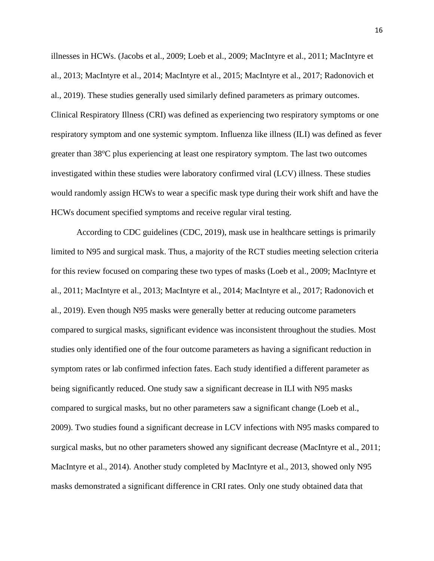illnesses in HCWs. (Jacobs et al., 2009; Loeb et al., 2009; MacIntyre et al., 2011; MacIntyre et al., 2013; MacIntyre et al., 2014; MacIntyre et al., 2015; MacIntyre et al., 2017; Radonovich et al., 2019). These studies generally used similarly defined parameters as primary outcomes. Clinical Respiratory Illness (CRI) was defined as experiencing two respiratory symptoms or one respiratory symptom and one systemic symptom. Influenza like illness (ILI) was defined as fever greater than 38<sup>o</sup>C plus experiencing at least one respiratory symptom. The last two outcomes investigated within these studies were laboratory confirmed viral (LCV) illness. These studies would randomly assign HCWs to wear a specific mask type during their work shift and have the HCWs document specified symptoms and receive regular viral testing.

According to CDC guidelines (CDC, 2019), mask use in healthcare settings is primarily limited to N95 and surgical mask. Thus, a majority of the RCT studies meeting selection criteria for this review focused on comparing these two types of masks (Loeb et al., 2009; MacIntyre et al., 2011; MacIntyre et al., 2013; MacIntyre et al., 2014; MacIntyre et al., 2017; Radonovich et al., 2019). Even though N95 masks were generally better at reducing outcome parameters compared to surgical masks, significant evidence was inconsistent throughout the studies. Most studies only identified one of the four outcome parameters as having a significant reduction in symptom rates or lab confirmed infection fates. Each study identified a different parameter as being significantly reduced. One study saw a significant decrease in ILI with N95 masks compared to surgical masks, but no other parameters saw a significant change (Loeb et al., 2009). Two studies found a significant decrease in LCV infections with N95 masks compared to surgical masks, but no other parameters showed any significant decrease (MacIntyre et al., 2011; MacIntyre et al., 2014). Another study completed by MacIntyre et al., 2013, showed only N95 masks demonstrated a significant difference in CRI rates. Only one study obtained data that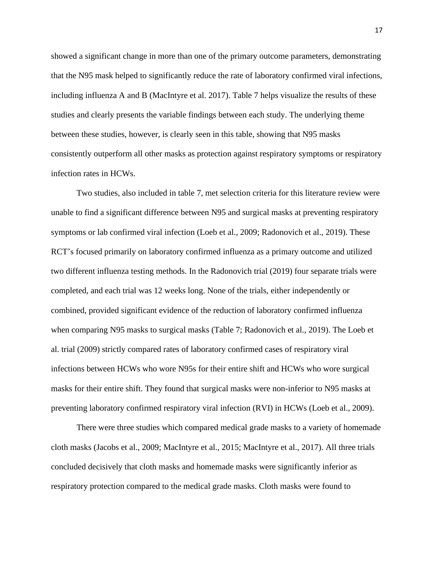showed a significant change in more than one of the primary outcome parameters, demonstrating that the N95 mask helped to significantly reduce the rate of laboratory confirmed viral infections, including influenza A and B (MacIntyre et al. 2017). Table 7 helps visualize the results of these studies and clearly presents the variable findings between each study. The underlying theme between these studies, however, is clearly seen in this table, showing that N95 masks consistently outperform all other masks as protection against respiratory symptoms or respiratory infection rates in HCWs.

Two studies, also included in table 7, met selection criteria for this literature review were unable to find a significant difference between N95 and surgical masks at preventing respiratory symptoms or lab confirmed viral infection (Loeb et al., 2009; Radonovich et al., 2019). These RCT's focused primarily on laboratory confirmed influenza as a primary outcome and utilized two different influenza testing methods. In the Radonovich trial (2019) four separate trials were completed, and each trial was 12 weeks long. None of the trials, either independently or combined, provided significant evidence of the reduction of laboratory confirmed influenza when comparing N95 masks to surgical masks (Table 7; Radonovich et al., 2019). The Loeb et al. trial (2009) strictly compared rates of laboratory confirmed cases of respiratory viral infections between HCWs who wore N95s for their entire shift and HCWs who wore surgical masks for their entire shift. They found that surgical masks were non-inferior to N95 masks at preventing laboratory confirmed respiratory viral infection (RVI) in HCWs (Loeb et al., 2009).

There were three studies which compared medical grade masks to a variety of homemade cloth masks (Jacobs et al., 2009; MacIntyre et al., 2015; MacIntyre et al., 2017). All three trials concluded decisively that cloth masks and homemade masks were significantly inferior as respiratory protection compared to the medical grade masks. Cloth masks were found to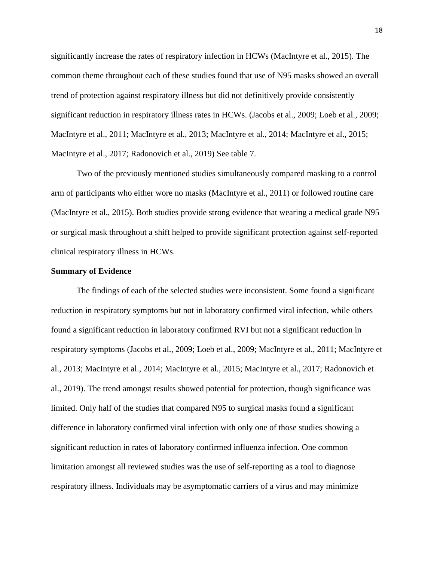significantly increase the rates of respiratory infection in HCWs (MacIntyre et al., 2015). The common theme throughout each of these studies found that use of N95 masks showed an overall trend of protection against respiratory illness but did not definitively provide consistently significant reduction in respiratory illness rates in HCWs. (Jacobs et al., 2009; Loeb et al., 2009; MacIntyre et al., 2011; MacIntyre et al., 2013; MacIntyre et al., 2014; MacIntyre et al., 2015; MacIntyre et al., 2017; Radonovich et al., 2019) See table 7.

Two of the previously mentioned studies simultaneously compared masking to a control arm of participants who either wore no masks (MacIntyre et al., 2011) or followed routine care (MacIntyre et al., 2015). Both studies provide strong evidence that wearing a medical grade N95 or surgical mask throughout a shift helped to provide significant protection against self-reported clinical respiratory illness in HCWs.

#### **Summary of Evidence**

The findings of each of the selected studies were inconsistent. Some found a significant reduction in respiratory symptoms but not in laboratory confirmed viral infection, while others found a significant reduction in laboratory confirmed RVI but not a significant reduction in respiratory symptoms (Jacobs et al., 2009; Loeb et al., 2009; MacIntyre et al., 2011; MacIntyre et al., 2013; MacIntyre et al., 2014; MacIntyre et al., 2015; MacIntyre et al., 2017; Radonovich et al., 2019). The trend amongst results showed potential for protection, though significance was limited. Only half of the studies that compared N95 to surgical masks found a significant difference in laboratory confirmed viral infection with only one of those studies showing a significant reduction in rates of laboratory confirmed influenza infection. One common limitation amongst all reviewed studies was the use of self-reporting as a tool to diagnose respiratory illness. Individuals may be asymptomatic carriers of a virus and may minimize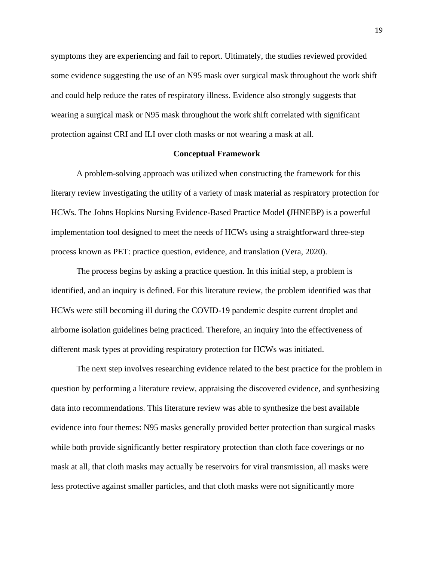symptoms they are experiencing and fail to report. Ultimately, the studies reviewed provided some evidence suggesting the use of an N95 mask over surgical mask throughout the work shift and could help reduce the rates of respiratory illness. Evidence also strongly suggests that wearing a surgical mask or N95 mask throughout the work shift correlated with significant protection against CRI and ILI over cloth masks or not wearing a mask at all.

#### **Conceptual Framework**

A problem-solving approach was utilized when constructing the framework for this literary review investigating the utility of a variety of mask material as respiratory protection for HCWs. The Johns Hopkins Nursing Evidence-Based Practice Model **(**JHNEBP) is a powerful implementation tool designed to meet the needs of HCWs using a straightforward three-step process known as PET: practice question, evidence, and translation (Vera, 2020).

The process begins by asking a practice question. In this initial step, a problem is identified, and an inquiry is defined. For this literature review, the problem identified was that HCWs were still becoming ill during the COVID-19 pandemic despite current droplet and airborne isolation guidelines being practiced. Therefore, an inquiry into the effectiveness of different mask types at providing respiratory protection for HCWs was initiated.

The next step involves researching evidence related to the best practice for the problem in question by performing a literature review, appraising the discovered evidence, and synthesizing data into recommendations. This literature review was able to synthesize the best available evidence into four themes: N95 masks generally provided better protection than surgical masks while both provide significantly better respiratory protection than cloth face coverings or no mask at all, that cloth masks may actually be reservoirs for viral transmission, all masks were less protective against smaller particles, and that cloth masks were not significantly more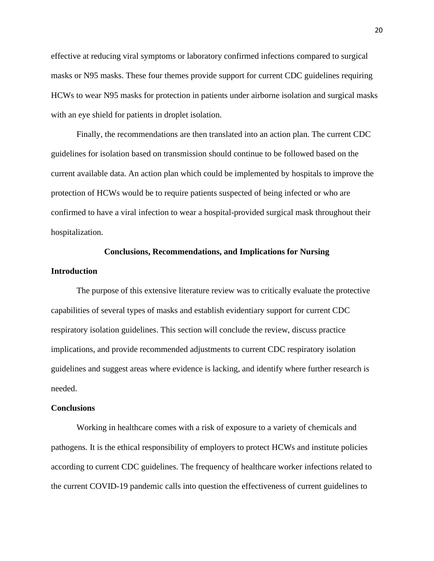effective at reducing viral symptoms or laboratory confirmed infections compared to surgical masks or N95 masks. These four themes provide support for current CDC guidelines requiring HCWs to wear N95 masks for protection in patients under airborne isolation and surgical masks with an eye shield for patients in droplet isolation.

Finally, the recommendations are then translated into an action plan. The current CDC guidelines for isolation based on transmission should continue to be followed based on the current available data. An action plan which could be implemented by hospitals to improve the protection of HCWs would be to require patients suspected of being infected or who are confirmed to have a viral infection to wear a hospital-provided surgical mask throughout their hospitalization.

#### **Conclusions, Recommendations, and Implications for Nursing**

#### **Introduction**

The purpose of this extensive literature review was to critically evaluate the protective capabilities of several types of masks and establish evidentiary support for current CDC respiratory isolation guidelines. This section will conclude the review, discuss practice implications, and provide recommended adjustments to current CDC respiratory isolation guidelines and suggest areas where evidence is lacking, and identify where further research is needed.

#### **Conclusions**

Working in healthcare comes with a risk of exposure to a variety of chemicals and pathogens. It is the ethical responsibility of employers to protect HCWs and institute policies according to current CDC guidelines. The frequency of healthcare worker infections related to the current COVID-19 pandemic calls into question the effectiveness of current guidelines to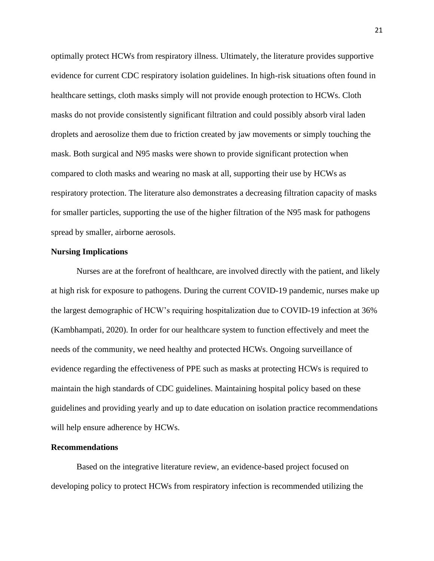optimally protect HCWs from respiratory illness. Ultimately, the literature provides supportive evidence for current CDC respiratory isolation guidelines. In high-risk situations often found in healthcare settings, cloth masks simply will not provide enough protection to HCWs. Cloth masks do not provide consistently significant filtration and could possibly absorb viral laden droplets and aerosolize them due to friction created by jaw movements or simply touching the mask. Both surgical and N95 masks were shown to provide significant protection when compared to cloth masks and wearing no mask at all, supporting their use by HCWs as respiratory protection. The literature also demonstrates a decreasing filtration capacity of masks for smaller particles, supporting the use of the higher filtration of the N95 mask for pathogens spread by smaller, airborne aerosols.

#### **Nursing Implications**

Nurses are at the forefront of healthcare, are involved directly with the patient, and likely at high risk for exposure to pathogens. During the current COVID-19 pandemic, nurses make up the largest demographic of HCW's requiring hospitalization due to COVID-19 infection at 36% (Kambhampati, 2020). In order for our healthcare system to function effectively and meet the needs of the community, we need healthy and protected HCWs. Ongoing surveillance of evidence regarding the effectiveness of PPE such as masks at protecting HCWs is required to maintain the high standards of CDC guidelines. Maintaining hospital policy based on these guidelines and providing yearly and up to date education on isolation practice recommendations will help ensure adherence by HCWs.

#### **Recommendations**

Based on the integrative literature review, an evidence-based project focused on developing policy to protect HCWs from respiratory infection is recommended utilizing the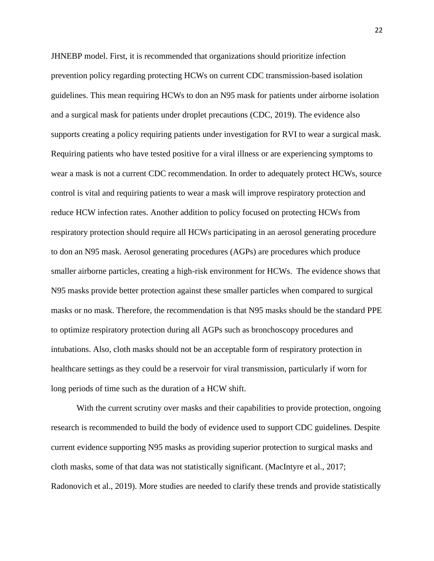JHNEBP model. First, it is recommended that organizations should prioritize infection prevention policy regarding protecting HCWs on current CDC transmission-based isolation guidelines. This mean requiring HCWs to don an N95 mask for patients under airborne isolation and a surgical mask for patients under droplet precautions (CDC, 2019). The evidence also supports creating a policy requiring patients under investigation for RVI to wear a surgical mask. Requiring patients who have tested positive for a viral illness or are experiencing symptoms to wear a mask is not a current CDC recommendation. In order to adequately protect HCWs, source control is vital and requiring patients to wear a mask will improve respiratory protection and reduce HCW infection rates. Another addition to policy focused on protecting HCWs from respiratory protection should require all HCWs participating in an aerosol generating procedure to don an N95 mask. Aerosol generating procedures (AGPs) are procedures which produce smaller airborne particles, creating a high-risk environment for HCWs. The evidence shows that N95 masks provide better protection against these smaller particles when compared to surgical masks or no mask. Therefore, the recommendation is that N95 masks should be the standard PPE to optimize respiratory protection during all AGPs such as bronchoscopy procedures and intubations. Also, cloth masks should not be an acceptable form of respiratory protection in healthcare settings as they could be a reservoir for viral transmission, particularly if worn for long periods of time such as the duration of a HCW shift.

With the current scrutiny over masks and their capabilities to provide protection, ongoing research is recommended to build the body of evidence used to support CDC guidelines. Despite current evidence supporting N95 masks as providing superior protection to surgical masks and cloth masks, some of that data was not statistically significant. (MacIntyre et al., 2017; Radonovich et al., 2019). More studies are needed to clarify these trends and provide statistically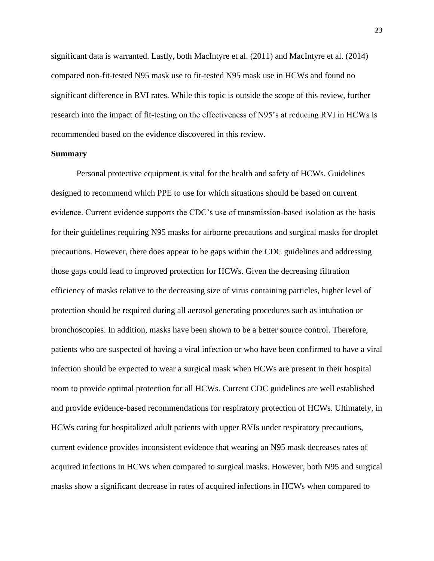significant data is warranted. Lastly, both MacIntyre et al. (2011) and MacIntyre et al. (2014) compared non-fit-tested N95 mask use to fit-tested N95 mask use in HCWs and found no significant difference in RVI rates. While this topic is outside the scope of this review, further research into the impact of fit-testing on the effectiveness of N95's at reducing RVI in HCWs is recommended based on the evidence discovered in this review.

#### **Summary**

Personal protective equipment is vital for the health and safety of HCWs. Guidelines designed to recommend which PPE to use for which situations should be based on current evidence. Current evidence supports the CDC's use of transmission-based isolation as the basis for their guidelines requiring N95 masks for airborne precautions and surgical masks for droplet precautions. However, there does appear to be gaps within the CDC guidelines and addressing those gaps could lead to improved protection for HCWs. Given the decreasing filtration efficiency of masks relative to the decreasing size of virus containing particles, higher level of protection should be required during all aerosol generating procedures such as intubation or bronchoscopies. In addition, masks have been shown to be a better source control. Therefore, patients who are suspected of having a viral infection or who have been confirmed to have a viral infection should be expected to wear a surgical mask when HCWs are present in their hospital room to provide optimal protection for all HCWs. Current CDC guidelines are well established and provide evidence-based recommendations for respiratory protection of HCWs. Ultimately, in HCWs caring for hospitalized adult patients with upper RVIs under respiratory precautions, current evidence provides inconsistent evidence that wearing an N95 mask decreases rates of acquired infections in HCWs when compared to surgical masks. However, both N95 and surgical masks show a significant decrease in rates of acquired infections in HCWs when compared to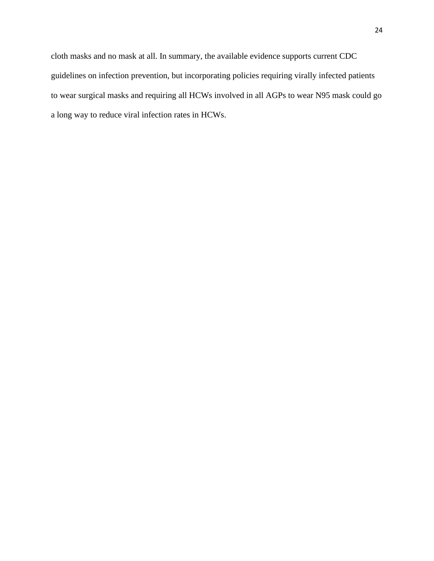cloth masks and no mask at all. In summary, the available evidence supports current CDC guidelines on infection prevention, but incorporating policies requiring virally infected patients to wear surgical masks and requiring all HCWs involved in all AGPs to wear N95 mask could go a long way to reduce viral infection rates in HCWs.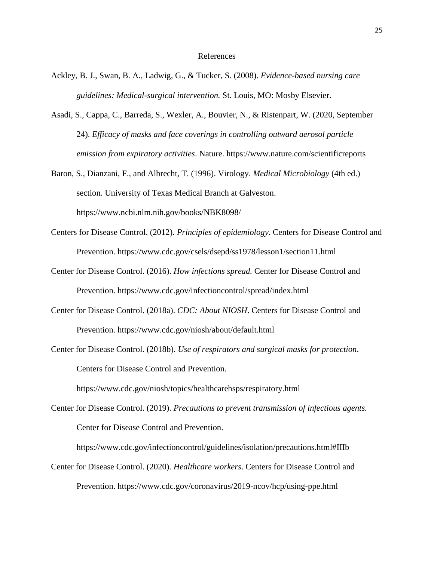#### References

- Ackley, B. J., Swan, B. A., Ladwig, G., & Tucker, S. (2008). *Evidence-based nursing care guidelines: Medical-surgical intervention.* St. Louis, MO: Mosby Elsevier.
- Asadi, S., Cappa, C., Barreda, S., Wexler, A., Bouvier, N., & Ristenpart, W. (2020, September 24). *Efficacy of masks and face coverings in controlling outward aerosol particle emission from expiratory activities*. Nature. https://www.nature.com/scientificreports
- Baron, S., Dianzani, F., and Albrecht, T. (1996). Virology. *Medical Microbiology* (4th ed.) section. University of Texas Medical Branch at Galveston. https://www.ncbi.nlm.nih.gov/books/NBK8098/
- Centers for Disease Control. (2012). *Principles of epidemiology.* Centers for Disease Control and Prevention. https://www.cdc.gov/csels/dsepd/ss1978/lesson1/section11.html
- Center for Disease Control. (2016). *How infections spread.* Center for Disease Control and Prevention. https://www.cdc.gov/infectioncontrol/spread/index.html
- Center for Disease Control. (2018a). *CDC: About NIOSH*. Centers for Disease Control and Prevention. https://www.cdc.gov/niosh/about/default.html
- Center for Disease Control. (2018b). *Use of respirators and surgical masks for protection*. Centers for Disease Control and Prevention.

https://www.cdc.gov/niosh/topics/healthcarehsps/respiratory.html

Center for Disease Control. (2019). *Precautions to prevent transmission of infectious agents.* Center for Disease Control and Prevention.

https://www.cdc.gov/infectioncontrol/guidelines/isolation/precautions.html#IIIb

Center for Disease Control. (2020). *Healthcare workers*. Centers for Disease Control and Prevention. https://www.cdc.gov/coronavirus/2019-ncov/hcp/using-ppe.html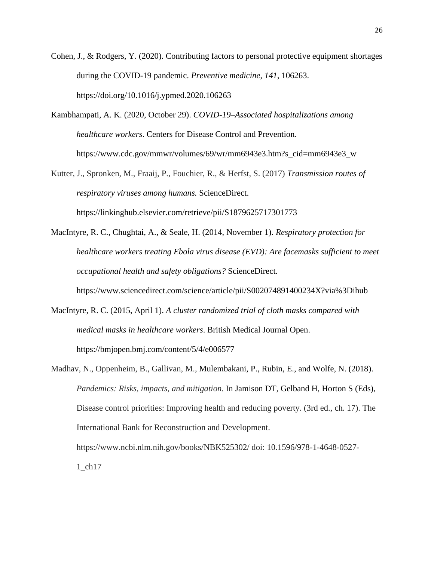- Cohen, J., & Rodgers, Y. (2020). Contributing factors to personal protective equipment shortages during the COVID-19 pandemic. *Preventive medicine*, *141*, 106263. https://doi.org/10.1016/j.ypmed.2020.106263
- Kambhampati, A. K. (2020, October 29). *COVID-19–Associated hospitalizations among healthcare workers*. Centers for Disease Control and Prevention. https://www.cdc.gov/mmwr/volumes/69/wr/mm6943e3.htm?s\_cid=mm6943e3\_w
- Kutter, J., Spronken, M., Fraaij, P., Fouchier, R., & Herfst, S. (2017) *Transmission routes of respiratory viruses among humans.* ScienceDirect. https://linkinghub.elsevier.com/retrieve/pii/S1879625717301773
- MacIntyre, R. C., Chughtai, A., & Seale, H. (2014, November 1). *Respiratory protection for healthcare workers treating Ebola virus disease (EVD): Are facemasks sufficient to meet occupational health and safety obligations?* ScienceDirect.

https://www.sciencedirect.com/science/article/pii/S002074891400234X?via%3Dihub

- MacIntyre, R. C. (2015, April 1). *A cluster randomized trial of cloth masks compared with medical masks in healthcare workers*. British Medical Journal Open. https://bmjopen.bmj.com/content/5/4/e006577
- Madhav, N., Oppenheim, B., Gallivan, M., Mulembakani, P., Rubin, E., and Wolfe, N. (2018). *Pandemics: Risks, impacts, and mitigation.* In Jamison DT, Gelband H, Horton S (Eds), Disease control priorities: Improving health and reducing poverty. (3rd ed., ch. 17). The International Bank for Reconstruction and Development. https://www.ncbi.nlm.nih.gov/books/NBK525302/ doi: 10.1596/978-1-4648-0527- 1\_ch17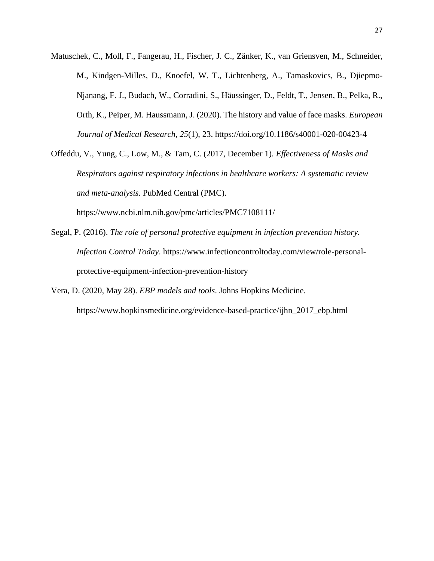Matuschek, C., Moll, F., Fangerau, H., Fischer, J. C., Zänker, K., van Griensven, M., Schneider, M., Kindgen-Milles, D., Knoefel, W. T., Lichtenberg, A., Tamaskovics, B., Djiepmo-Njanang, F. J., Budach, W., Corradini, S., Häussinger, D., Feldt, T., Jensen, B., Pelka, R., Orth, K., Peiper, M. Haussmann, J. (2020). The history and value of face masks. *European Journal of Medical Research*, *25*(1), 23. https://doi.org/10.1186/s40001-020-00423-4

Offeddu, V., Yung, C., Low, M., & Tam, C. (2017, December 1). *Effectiveness of Masks and Respirators against respiratory infections in healthcare workers: A systematic review and meta-analysis*. PubMed Central (PMC).

https://www.ncbi.nlm.nih.gov/pmc/articles/PMC7108111/

- Segal, P. (2016). *The role of personal protective equipment in infection prevention history. Infection Control Today*. https://www.infectioncontroltoday.com/view/role-personalprotective-equipment-infection-prevention-history
- Vera, D. (2020, May 28). *EBP models and tools*. Johns Hopkins Medicine. https://www.hopkinsmedicine.org/evidence-based-practice/ijhn\_2017\_ebp.html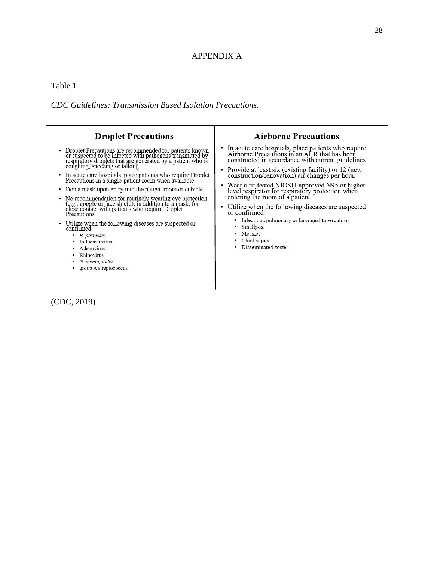### APPENDIX A

Table 1

*CDC Guidelines: Transmission Based Isolation Precautions.* 



(CDC, 2019)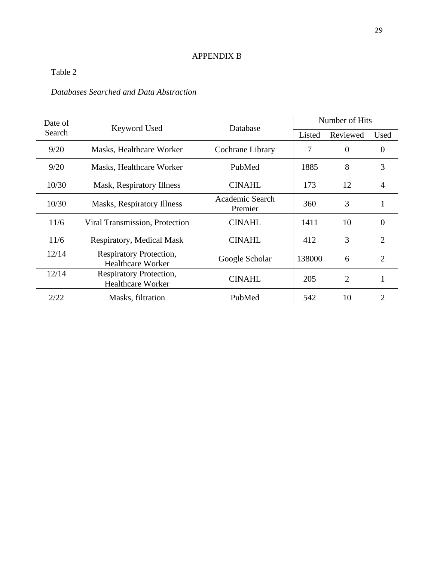# APPENDIX B

# Table 2

# *Databases Searched and Data Abstraction*

| Date of |                                                     | Database<br>Keyword Used   |        | Number of Hits |                |  |  |
|---------|-----------------------------------------------------|----------------------------|--------|----------------|----------------|--|--|
| Search  |                                                     |                            | Listed | Reviewed       | Used           |  |  |
| 9/20    | Masks, Healthcare Worker                            | Cochrane Library           | 7      | $\theta$       | $\theta$       |  |  |
| 9/20    | Masks, Healthcare Worker                            | PubMed                     | 1885   | 8              | 3              |  |  |
| 10/30   | Mask, Respiratory Illness                           | <b>CINAHL</b>              | 173    | 12             | $\overline{4}$ |  |  |
| 10/30   | Masks, Respiratory Illness                          | Academic Search<br>Premier | 360    | 3              |                |  |  |
| 11/6    | Viral Transmission, Protection                      | <b>CINAHL</b>              | 1411   | 10             | $\overline{0}$ |  |  |
| 11/6    | Respiratory, Medical Mask                           | <b>CINAHL</b>              | 412    | 3              | 2              |  |  |
| 12/14   | Respiratory Protection,<br><b>Healthcare Worker</b> | Google Scholar             | 138000 | 6              | $\overline{2}$ |  |  |
| 12/14   | Respiratory Protection,<br><b>Healthcare Worker</b> | <b>CINAHL</b>              | 205    | $\overline{2}$ | 1              |  |  |
| 2/22    | Masks, filtration                                   | PubMed                     | 542    | 10             | 2              |  |  |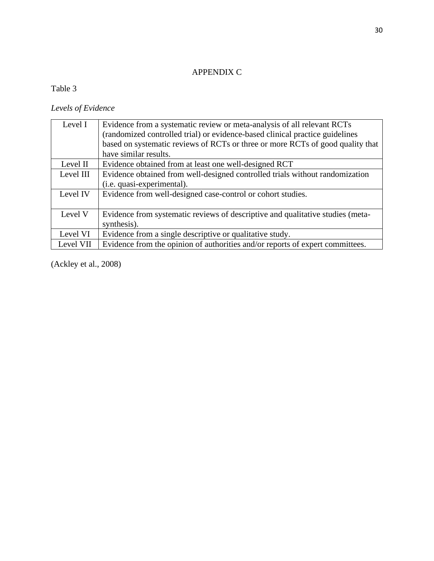# APPENDIX C

# Table 3

### *Levels of Evidence*

| Level I   | Evidence from a systematic review or meta-analysis of all relevant RCTs<br>(randomized controlled trial) or evidence-based clinical practice guidelines<br>based on systematic reviews of RCTs or three or more RCTs of good quality that<br>have similar results. |
|-----------|--------------------------------------------------------------------------------------------------------------------------------------------------------------------------------------------------------------------------------------------------------------------|
| Level II  | Evidence obtained from at least one well-designed RCT                                                                                                                                                                                                              |
| Level III | Evidence obtained from well-designed controlled trials without randomization                                                                                                                                                                                       |
|           | (i.e. quasi-experimental).                                                                                                                                                                                                                                         |
| Level IV  | Evidence from well-designed case-control or cohort studies.                                                                                                                                                                                                        |
| Level V   | Evidence from systematic reviews of descriptive and qualitative studies (meta-                                                                                                                                                                                     |
|           | synthesis).                                                                                                                                                                                                                                                        |
| Level VI  | Evidence from a single descriptive or qualitative study.                                                                                                                                                                                                           |
| Level VII | Evidence from the opinion of authorities and/or reports of expert committees.                                                                                                                                                                                      |

(Ackley et al., 2008)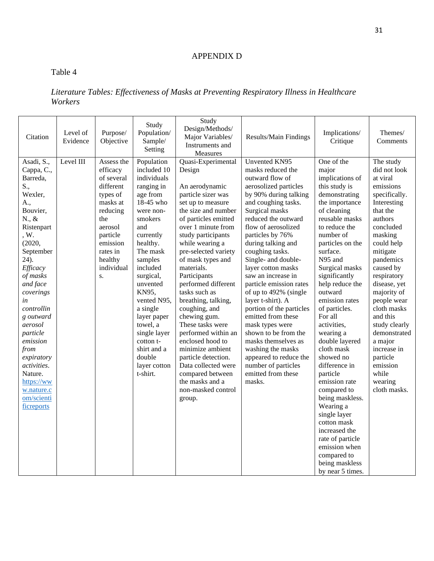# APPENDIX D

# Table 4

# *Literature Tables: Effectiveness of Masks at Preventing Respiratory Illness in Healthcare Workers*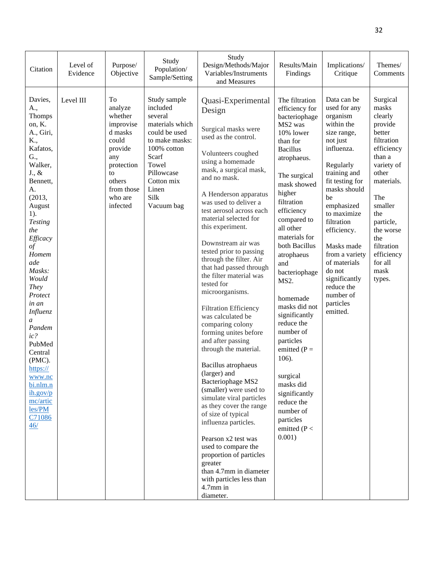| Citation                                                                                                                                                                                                                                                                                                                                                                                                                                          | Level of<br>Evidence | Purpose/<br>Objective                                                                                                                          | Study<br>Population/<br>Sample/Setting                                                                                                                                                | Study<br>Design/Methods/Major<br>Variables/Instruments<br>and Measures                                                                                                                                                                                                                                                                                                                                                                                                                                                                                                                                                                                                                                                                                                                                                                                                                                                                                                                | Results/Main<br>Findings                                                                                                                                                                                                                                                                                                                                                                                                                                                                                                                  | Implications/<br>Critique                                                                                                                                                                                                                                                                                                                                     | Themes/<br>Comments                                                                                                                                                                                                                             |
|---------------------------------------------------------------------------------------------------------------------------------------------------------------------------------------------------------------------------------------------------------------------------------------------------------------------------------------------------------------------------------------------------------------------------------------------------|----------------------|------------------------------------------------------------------------------------------------------------------------------------------------|---------------------------------------------------------------------------------------------------------------------------------------------------------------------------------------|---------------------------------------------------------------------------------------------------------------------------------------------------------------------------------------------------------------------------------------------------------------------------------------------------------------------------------------------------------------------------------------------------------------------------------------------------------------------------------------------------------------------------------------------------------------------------------------------------------------------------------------------------------------------------------------------------------------------------------------------------------------------------------------------------------------------------------------------------------------------------------------------------------------------------------------------------------------------------------------|-------------------------------------------------------------------------------------------------------------------------------------------------------------------------------------------------------------------------------------------------------------------------------------------------------------------------------------------------------------------------------------------------------------------------------------------------------------------------------------------------------------------------------------------|---------------------------------------------------------------------------------------------------------------------------------------------------------------------------------------------------------------------------------------------------------------------------------------------------------------------------------------------------------------|-------------------------------------------------------------------------------------------------------------------------------------------------------------------------------------------------------------------------------------------------|
| Davies,<br>A.,<br>Thomps<br>on, K.<br>A., Giri,<br>K.,<br>Kafatos,<br>G.,<br>Walker,<br>$J_{\cdot}, \&$<br>Bennett,<br>A.<br>(2013,<br>August<br>$1$ ).<br><b>Testing</b><br>the<br>Efficacy<br>$\circ f$<br>Homem<br>ade<br>Masks:<br>Would<br><b>They</b><br>Protect<br>in an<br>Influenz<br>$\mathfrak a$<br>Pandem<br>ic?<br>PubMed<br>Central<br>(PMC).<br>https://<br>www.nc<br>bi.nlm.n<br>ih.gov/p<br>mc/artic<br>les/PM<br>C71086<br>46/ | Level III            | To<br>analyze<br>whether<br>improvise<br>d masks<br>could<br>provide<br>any<br>protection<br>to<br>others<br>from those<br>who are<br>infected | Study sample<br>included<br>several<br>materials which<br>could be used<br>to make masks:<br>100% cotton<br>Scarf<br>Towel<br>Pillowcase<br>Cotton mix<br>Linen<br>Silk<br>Vacuum bag | Quasi-Experimental<br>Design<br>Surgical masks were<br>used as the control.<br>Volunteers coughed<br>using a homemade<br>mask, a surgical mask,<br>and no mask.<br>A Henderson apparatus<br>was used to deliver a<br>test aerosol across each<br>material selected for<br>this experiment.<br>Downstream air was<br>tested prior to passing<br>through the filter. Air<br>that had passed through<br>the filter material was<br>tested for<br>microorganisms.<br><b>Filtration Efficiency</b><br>was calculated be<br>comparing colony<br>forming unites before<br>and after passing<br>through the material.<br><b>Bacillus</b> atrophaeus<br>(larger) and<br>Bacteriophage MS2<br>(smaller) were used to<br>simulate viral particles<br>as they cover the range<br>of size of typical<br>influenza particles.<br>Pearson x2 test was<br>used to compare the<br>proportion of particles<br>greater<br>than 4.7mm in diameter<br>with particles less than<br>$4.7$ mm in<br>diameter. | The filtration<br>efficiency for<br>bacteriophage<br>MS2 was<br>10% lower<br>than for<br><b>Bacillus</b><br>atrophaeus.<br>The surgical<br>mask showed<br>higher<br>filtration<br>efficiency<br>compared to<br>all other<br>materials for<br>both Bacillus<br>atrophaeus<br>and<br>bacteriophage<br>MS2.<br>homemade<br>masks did not<br>significantly<br>reduce the<br>number of<br>particles<br>emitted ( $P =$<br>106).<br>surgical<br>masks did<br>significantly<br>reduce the<br>number of<br>particles<br>emitted ( $P <$<br>0.001) | Data can be<br>used for any<br>organism<br>within the<br>size range,<br>not just<br>influenza.<br>Regularly<br>training and<br>fit testing for<br>masks should<br>be<br>emphasized<br>to maximize<br>filtration<br>efficiency.<br>Masks made<br>from a variety<br>of materials<br>do not<br>significantly<br>reduce the<br>number of<br>particles<br>emitted. | Surgical<br>masks<br>clearly<br>provide<br>better<br>filtration<br>efficiency<br>than a<br>variety of<br>other<br>materials.<br>The<br>smaller<br>the<br>particle,<br>the worse<br>the<br>filtration<br>efficiency<br>for all<br>mask<br>types. |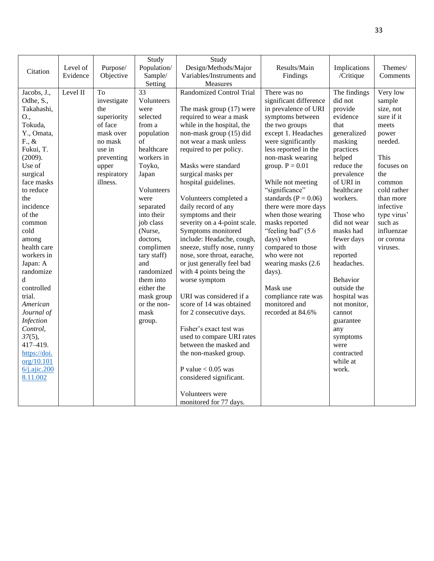|                  |          |             | Study       | Study                           |                          |              |             |
|------------------|----------|-------------|-------------|---------------------------------|--------------------------|--------------|-------------|
| Citation         | Level of | Purpose/    | Population/ | Design/Methods/Major            | Results/Main             | Implications | Themes/     |
|                  | Evidence | Objective   | Sample/     | Variables/Instruments and       | Findings                 | /Critique    | Comments    |
|                  |          |             | Setting     | <b>Measures</b>                 |                          |              |             |
| Jacobs, J.,      | Level II | To          | 33          | <b>Randomized Control Trial</b> | There was no             | The findings | Very low    |
| Odhe, S.,        |          | investigate | Volunteers  |                                 | significant difference   | did not      | sample      |
| Takahashi,       |          | the         | were        | The mask group $(17)$ were      | in prevalence of URI     | provide      | size, not   |
| O.,              |          | superiority | selected    | required to wear a mask         | symptoms between         | evidence     | sure if it  |
| Tokuda,          |          | of face     | from a      | while in the hospital, the      | the two groups           | that         | meets       |
| Y., Omata,       |          | mask over   | population  | non-mask group (15) did         | except 1. Headaches      | generalized  | power       |
| F., &            |          | no mask     | of          | not wear a mask unless          | were significantly       | masking      | needed.     |
| Fukui, T.        |          | use in      | healthcare  | required to per policy.         | less reported in the     | practices    |             |
| (2009).          |          | preventing  | workers in  |                                 | non-mask wearing         | helped       | This        |
| Use of           |          | upper       | Toyko,      | Masks were standard             | group. $P = 0.01$        | reduce the   | focuses on  |
| surgical         |          | respiratory | Japan       | surgical masks per              |                          | prevalence   | the         |
| face masks       |          | illness.    |             | hospital guidelines.            | While not meeting        | of URI in    | common      |
| to reduce        |          |             | Volunteers  |                                 | "significance"           | healthcare   | cold rather |
| the              |          |             | were        | Volunteers completed a          | standards ( $P = 0.06$ ) | workers.     | than more   |
| incidence        |          |             | separated   | daily record of any             | there were more days     |              | infective   |
| of the           |          |             | into their  | symptoms and their              | when those wearing       | Those who    | type virus' |
| common           |          |             | job class   | severity on a 4-point scale.    | masks reported           | did not wear | such as     |
| cold             |          |             | (Nurse,     | Symptoms monitored              | "feeling bad" (5.6       | masks had    | influenzae  |
| among            |          |             | doctors,    | include: Headache, cough,       | days) when               | fewer days   | or corona   |
| health care      |          |             | complimen   | sneeze, stuffy nose, runny      | compared to those        | with         | viruses.    |
| workers in       |          |             | tary staff) | nose, sore throat, earache,     | who were not             | reported     |             |
| Japan: A         |          |             | and         | or just generally feel bad      | wearing masks (2.6)      | headaches.   |             |
| randomize        |          |             | randomized  | with 4 points being the         | days).                   |              |             |
| $\mathbf d$      |          |             | them into   | worse symptom                   |                          | Behavior     |             |
| controlled       |          |             | either the  |                                 | Mask use                 | outside the  |             |
| trial.           |          |             | mask group  | URI was considered if a         | compliance rate was      | hospital was |             |
| American         |          |             | or the non- | score of 14 was obtained        | monitored and            | not monitor, |             |
| Journal of       |          |             | mask        | for 2 consecutive days.         | recorded at 84.6%        | cannot       |             |
| <b>Infection</b> |          |             | group.      |                                 |                          | guarantee    |             |
| Control,         |          |             |             | Fisher's exact test was         |                          | any          |             |
| $37(5)$ ,        |          |             |             | used to compare URI rates       |                          | symptoms     |             |
| 417-419.         |          |             |             | between the masked and          |                          | were         |             |
| https://doi.     |          |             |             | the non-masked group.           |                          | contracted   |             |
| org/10.101       |          |             |             |                                 |                          | while at     |             |
| 6/j. ajic. 200   |          |             |             | P value $< 0.05$ was            |                          | work.        |             |
| 8.11.002         |          |             |             | considered significant.         |                          |              |             |
|                  |          |             |             |                                 |                          |              |             |
|                  |          |             |             | Volunteers were                 |                          |              |             |
|                  |          |             |             | monitored for 77 days.          |                          |              |             |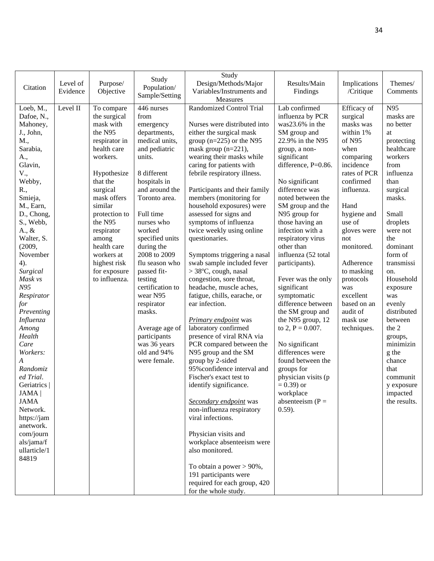| Citation                | Level of<br>Evidence | Purpose/<br>Objective         | Study<br>Population/<br>Sample/Setting | Study<br>Design/Methods/Major<br>Variables/Instruments and | Results/Main<br>Findings          | Implications<br>/Critique | Themes/<br>Comments |
|-------------------------|----------------------|-------------------------------|----------------------------------------|------------------------------------------------------------|-----------------------------------|---------------------------|---------------------|
| Loeb, M.,<br>Dafoe, N., | Level II             | To compare<br>the surgical    | 446 nurses<br>from                     | Measures<br>Randomized Control Trial                       | Lab confirmed<br>influenza by PCR | Efficacy of<br>surgical   | N95<br>masks are    |
| Mahoney,                |                      | mask with                     | emergency                              | Nurses were distributed into                               | was23.6% in the                   | masks was                 | no better           |
| J., John,               |                      | the N95                       | departments,                           | either the surgical mask                                   | SM group and                      | within 1%                 | at                  |
| M.,                     |                      | respirator in                 | medical units,                         | group $(n=225)$ or the N95                                 | 22.9% in the N95                  | of N95                    | protecting          |
| Sarabia,                |                      | health care                   | and pediatric                          | mask group $(n=221)$ ,                                     | group, a non-                     | when                      | healthcare          |
| A.,                     |                      | workers.                      | units.                                 | wearing their masks while                                  | significant                       | comparing                 | workers             |
| Glavin,                 |                      |                               |                                        | caring for patients with                                   | difference, P=0.86.               | incidence                 | from                |
| V.,                     |                      | Hypothesize                   | 8 different                            | febrile respiratory illness.                               |                                   | rates of PCR              | influenza           |
| Webby,                  |                      | that the                      | hospitals in                           |                                                            | No significant                    | confirmed                 | than                |
| R.,                     |                      | surgical                      | and around the                         | Participants and their family                              | difference was                    | influenza.                | surgical            |
| Smieja,                 |                      | mask offers                   | Toronto area.                          | members (monitoring for                                    | noted between the                 |                           | masks.              |
| M., Earn,               |                      | similar                       |                                        | household exposures) were                                  | SM group and the                  | Hand                      |                     |
| D., Chong,              |                      | protection to                 | Full time                              | assessed for signs and                                     | N95 group for                     | hygiene and               | Small               |
| S., Webb,               |                      | the N95                       | nurses who                             | symptoms of influenza                                      | those having an                   | use of                    | droplets            |
| $A_{\cdot}, \&$         |                      | respirator                    | worked                                 | twice weekly using online                                  | infection with a                  | gloves were               | were not            |
| Walter, S.              |                      | among                         | specified units                        | questionaries.                                             | respiratory virus                 | not                       | the                 |
| (2009,                  |                      | health care                   | during the                             |                                                            | other than                        | monitored.                | dominant            |
| November                |                      | workers at                    | 2008 to 2009                           | Symptoms triggering a nasal                                | influenza (52 total               |                           | form of             |
| 4).                     |                      | highest risk                  | flu season who                         | swab sample included fever                                 | participants).                    | Adherence                 | transmissi          |
| Surgical<br>Mask vs     |                      | for exposure<br>to influenza. | passed fit-                            | > 38°C, cough, nasal<br>congestion, sore throat,           |                                   | to masking                | on.<br>Household    |
| N95                     |                      |                               | testing<br>certification to            | headache, muscle aches,                                    | Fever was the only<br>significant | protocols<br>was          | exposure            |
| Respirator              |                      |                               | wear N95                               | fatigue, chills, earache, or                               | symptomatic                       | excellent                 | was                 |
| for                     |                      |                               | respirator                             | ear infection.                                             | difference between                | based on an               | evenly              |
| Preventing              |                      |                               | masks.                                 |                                                            | the SM group and                  | audit of                  | distributed         |
| Influenza               |                      |                               |                                        | <b>Primary endpoint</b> was                                | the N95 group, 12                 | mask use                  | between             |
| Among                   |                      |                               | Average age of                         | laboratory confirmed                                       | to 2, $P = 0.007$ .               | techniques.               | the 2               |
| Health                  |                      |                               | participants                           | presence of viral RNA via                                  |                                   |                           | groups,             |
| Care                    |                      |                               | was 36 years                           | PCR compared between the                                   | No significant                    |                           | minimizin           |
| Workers:                |                      |                               | old and 94%                            | N95 group and the SM                                       | differences were                  |                           | g the               |
| A                       |                      |                               | were female.                           | group by 2-sided                                           | found between the                 |                           | chance              |
| Randomiz                |                      |                               |                                        | 95% confidence interval and                                | groups for                        |                           | that                |
| ed Trial.               |                      |                               |                                        | Fischer's exact test to                                    | physician visits (p               |                           | communit            |
| Geriatrics              |                      |                               |                                        | identify significance.                                     | $= 0.39$ or                       |                           | y exposure          |
| JAMA                    |                      |                               |                                        |                                                            | workplace                         |                           | impacted            |
| <b>JAMA</b>             |                      |                               |                                        | Secondary endpoint was                                     | absenteeism $(P =$                |                           | the results.        |
| Network.                |                      |                               |                                        | non-influenza respiratory                                  | $(0.59)$ .                        |                           |                     |
| https://jam             |                      |                               |                                        | viral infections.                                          |                                   |                           |                     |
| anetwork.               |                      |                               |                                        |                                                            |                                   |                           |                     |
| com/journ<br>als/jama/f |                      |                               |                                        | Physician visits and<br>workplace absenteeism were         |                                   |                           |                     |
| ullarticle/1            |                      |                               |                                        | also monitored.                                            |                                   |                           |                     |
| 84819                   |                      |                               |                                        |                                                            |                                   |                           |                     |
|                         |                      |                               |                                        | To obtain a power $> 90\%$ ,                               |                                   |                           |                     |
|                         |                      |                               |                                        | 191 participants were                                      |                                   |                           |                     |
|                         |                      |                               |                                        | required for each group, 420                               |                                   |                           |                     |
|                         |                      |                               |                                        | for the whole study.                                       |                                   |                           |                     |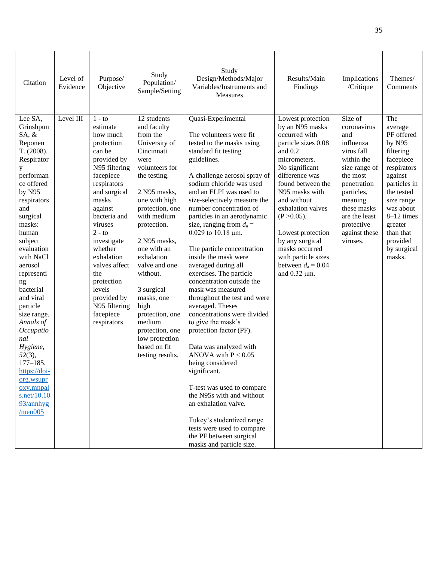| Citation                                                                                                                                                                                                                                                                                                                                                                                                                                                       | Level of<br>Evidence | Purpose/<br>Objective                                                                                                                                                                                                                                                                                                                                      | Study<br>Population/<br>Sample/Setting                                                                                                                                                                                                                                                                                                                                                                                | Study<br>Design/Methods/Major<br>Variables/Instruments and<br><b>Measures</b>                                                                                                                                                                                                                                                                                                                                                                                                                                                                                                                                                                                                                                                                                                                                                                                                                                                                           | Results/Main<br>Findings                                                                                                                                                                                                                                                                                                                                                  | Implications<br>/Critique                                                                                                                                                                                              | Themes/<br>Comments                                                                                                                                                                                                              |
|----------------------------------------------------------------------------------------------------------------------------------------------------------------------------------------------------------------------------------------------------------------------------------------------------------------------------------------------------------------------------------------------------------------------------------------------------------------|----------------------|------------------------------------------------------------------------------------------------------------------------------------------------------------------------------------------------------------------------------------------------------------------------------------------------------------------------------------------------------------|-----------------------------------------------------------------------------------------------------------------------------------------------------------------------------------------------------------------------------------------------------------------------------------------------------------------------------------------------------------------------------------------------------------------------|---------------------------------------------------------------------------------------------------------------------------------------------------------------------------------------------------------------------------------------------------------------------------------------------------------------------------------------------------------------------------------------------------------------------------------------------------------------------------------------------------------------------------------------------------------------------------------------------------------------------------------------------------------------------------------------------------------------------------------------------------------------------------------------------------------------------------------------------------------------------------------------------------------------------------------------------------------|---------------------------------------------------------------------------------------------------------------------------------------------------------------------------------------------------------------------------------------------------------------------------------------------------------------------------------------------------------------------------|------------------------------------------------------------------------------------------------------------------------------------------------------------------------------------------------------------------------|----------------------------------------------------------------------------------------------------------------------------------------------------------------------------------------------------------------------------------|
| Lee SA,<br>Grinshpun<br>$SA, \&$<br>Reponen<br>T. (2008).<br>Respirator<br>у<br>performan<br>ce offered<br>by N95<br>respirators<br>and<br>surgical<br>masks:<br>human<br>subject<br>evaluation<br>with NaCl<br>aerosol<br>representi<br>ng<br>bacterial<br>and viral<br>particle<br>size range.<br>Annals of<br>Occupatio<br>nal<br>Hygiene,<br>52(3),<br>$177 - 185.$<br>https://doi-<br>org.wsupr<br>oxy.mnpal<br>s.net/10.10<br>93/annhyg<br>$/$ men $005$ | Level III            | $1 - \text{to}$<br>estimate<br>how much<br>protection<br>can be<br>provided by<br>N95 filtering<br>facepiece<br>respirators<br>and surgical<br>masks<br>against<br>bacteria and<br>viruses<br>$2 - to$<br>investigate<br>whether<br>exhalation<br>valves affect<br>the<br>protection<br>levels<br>provided by<br>N95 filtering<br>facepiece<br>respirators | 12 students<br>and faculty<br>from the<br>University of<br>Cincinnati<br>were<br>volunteers for<br>the testing.<br>2 N95 masks,<br>one with high<br>protection, one<br>with medium<br>protection.<br>2 N95 masks,<br>one with an<br>exhalation<br>valve and one<br>without.<br>3 surgical<br>masks, one<br>high<br>protection, one<br>medium<br>protection, one<br>low protection<br>based on fit<br>testing results. | Quasi-Experimental<br>The volunteers were fit<br>tested to the masks using<br>standard fit testing<br>guidelines.<br>A challenge aerosol spray of<br>sodium chloride was used<br>and an ELPI was used to<br>size-selectively measure the<br>number concentration of<br>particles in an aerodynamic<br>size, ranging from $d_a =$<br>$0.029$ to 10.18 $\mu$ m.<br>The particle concentration<br>inside the mask were<br>averaged during all<br>exercises. The particle<br>concentration outside the<br>mask was measured<br>throughout the test and were<br>averaged. Theses<br>concentrations were divided<br>to give the mask's<br>protection factor (PF).<br>Data was analyzed with<br>ANOVA with $P < 0.05$<br>being considered<br>significant.<br>T-test was used to compare<br>the N95s with and without<br>an exhalation valve.<br>Tukey's studentized range<br>tests were used to compare<br>the PF between surgical<br>masks and particle size. | Lowest protection<br>by an N95 masks<br>occurred with<br>particle sizes 0.08<br>and $0.2$<br>micrometers.<br>No significant<br>difference was<br>found between the<br>N95 masks with<br>and without<br>exhalation valves<br>$(P > 0.05)$ .<br>Lowest protection<br>by any surgical<br>masks occurred<br>with particle sizes<br>between $d_a = 0.04$<br>and $0.32 \mu m$ . | Size of<br>coronavirus<br>and<br>influenza<br>virus fall<br>within the<br>size range of<br>the most<br>penetration<br>particles,<br>meaning<br>these masks<br>are the least<br>protective<br>against these<br>viruses. | The<br>average<br>PF offered<br>by N95<br>filtering<br>facepiece<br>respirators<br>against<br>particles in<br>the tested<br>size range<br>was about<br>$8-12$ times<br>greater<br>than that<br>provided<br>by surgical<br>masks. |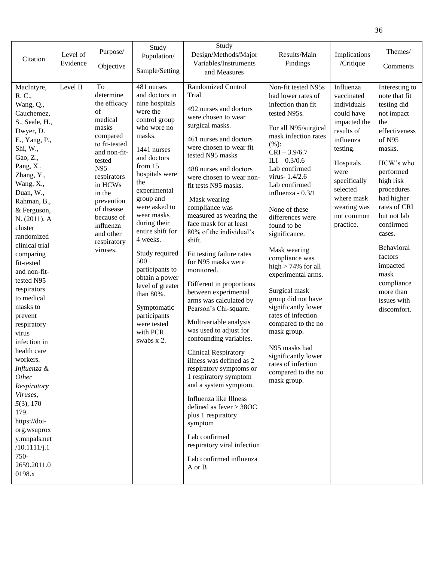| Citation                                                                                                                                                                                                                                                                                                                                                                                                                                                                                                                                                                                                                         | Level of<br>Evidence | Purpose/<br>Objective                                                                                                                                                                                                                                             | Study<br>Population/<br>Sample/Setting                                                                                                                                                                                                                                                                                                                                                                                                                                 | Study<br>Design/Methods/Major<br>Variables/Instruments<br>and Measures                                                                                                                                                                                                                                                                                                                                                                                                                                                                                                                                                                                                                                                                                                                                                                                                                                                                                      | Results/Main<br>Findings                                                                                                                                                                                                                                                                                                                                                                                                                                                                                                                                                                                                                | Implications<br>/Critique                                                                                                                                                                                            | Themes/<br>Comments                                                                                                                                                                                                                                                                                                                     |
|----------------------------------------------------------------------------------------------------------------------------------------------------------------------------------------------------------------------------------------------------------------------------------------------------------------------------------------------------------------------------------------------------------------------------------------------------------------------------------------------------------------------------------------------------------------------------------------------------------------------------------|----------------------|-------------------------------------------------------------------------------------------------------------------------------------------------------------------------------------------------------------------------------------------------------------------|------------------------------------------------------------------------------------------------------------------------------------------------------------------------------------------------------------------------------------------------------------------------------------------------------------------------------------------------------------------------------------------------------------------------------------------------------------------------|-------------------------------------------------------------------------------------------------------------------------------------------------------------------------------------------------------------------------------------------------------------------------------------------------------------------------------------------------------------------------------------------------------------------------------------------------------------------------------------------------------------------------------------------------------------------------------------------------------------------------------------------------------------------------------------------------------------------------------------------------------------------------------------------------------------------------------------------------------------------------------------------------------------------------------------------------------------|-----------------------------------------------------------------------------------------------------------------------------------------------------------------------------------------------------------------------------------------------------------------------------------------------------------------------------------------------------------------------------------------------------------------------------------------------------------------------------------------------------------------------------------------------------------------------------------------------------------------------------------------|----------------------------------------------------------------------------------------------------------------------------------------------------------------------------------------------------------------------|-----------------------------------------------------------------------------------------------------------------------------------------------------------------------------------------------------------------------------------------------------------------------------------------------------------------------------------------|
| MacIntyre,<br>R. C.,<br>Wang, Q.,<br>Cauchemez,<br>S., Seale, H.,<br>Dwyer, D.<br>E., Yang, P.,<br>Shi, W.,<br>Gao, Z.,<br>Pang, X.,<br>Zhang, Y.,<br>Wang, X.,<br>Duan, W.,<br>Rahman, B.,<br>& Ferguson,<br>N. (2011). A<br>cluster<br>randomized<br>clinical trial<br>comparing<br>fit-tested<br>and non-fit-<br>tested N95<br>respirators<br>to medical<br>masks to<br>prevent<br>respiratory<br>virus<br>infection in<br>health care<br>workers.<br>Influenza &<br>Other<br>Respiratory<br>Viruses,<br>$5(3), 170-$<br>179.<br>https://doi-<br>org.wsuprox<br>y.mnpals.net<br>/10.1111/j.1<br>750-<br>2659.2011.0<br>0198.x | Level II             | <b>To</b><br>determine<br>the efficacy<br>of<br>medical<br>masks<br>compared<br>to fit-tested<br>and non-fit-<br>tested<br>N95<br>respirators<br>in HCWs<br>in the<br>prevention<br>of disease<br>because of<br>influenza<br>and other<br>respiratory<br>viruses. | $\overline{48}1$ nurses<br>and doctors in<br>nine hospitals<br>were the<br>control group<br>who wore no<br>masks.<br>1441 nurses<br>and doctors<br>from 15<br>hospitals were<br>the<br>experimental<br>group and<br>were asked to<br>wear masks<br>during their<br>entire shift for<br>4 weeks.<br>Study required<br>500<br>participants to<br>obtain a power<br>level of greater<br>than 80%.<br>Symptomatic<br>participants<br>were tested<br>with PCR<br>swabs x 2. | Randomized Control<br>Trial<br>492 nurses and doctors<br>were chosen to wear<br>surgical masks.<br>461 nurses and doctors<br>were chosen to wear fit<br>tested N95 masks<br>488 nurses and doctors<br>were chosen to wear non-<br>fit tests N95 masks.<br>Mask wearing<br>compliance was<br>measured as wearing the<br>face mask for at least<br>80% of the individual's<br>shift.<br>Fit testing failure rates<br>for N95 masks were<br>monitored.<br>Different in proportions<br>between experimental<br>arms was calculated by<br>Pearson's Chi-square.<br>Multivariable analysis<br>was used to adjust for<br>confounding variables.<br><b>Clinical Respiratory</b><br>illness was defined as 2<br>respiratory symptoms or<br>1 respiratory symptom<br>and a system symptom.<br>Influenza like Illness<br>defined as fever > 38OC<br>plus 1 respiratory<br>symptom<br>Lab confirmed<br>respiratory viral infection<br>Lab confirmed influenza<br>A or B | Non-fit tested N95s<br>had lower rates of<br>infection than fit<br>tested N95s.<br>For all N95/surgical<br>mask infection rates<br>(%):<br>$CRI - 3.9/6.7$<br>$ILI - 0.3/0.6$<br>Lab confirmed<br>virus-1.4/2.6<br>Lab confirmed<br>influenza - 0.3/1<br>None of these<br>differences were<br>found to be<br>significance.<br>Mask wearing<br>compliance was<br>high $> 74\%$ for all<br>experimental arms.<br>Surgical mask<br>group did not have<br>significantly lower<br>rates of infection<br>compared to the no<br>mask group.<br>N95 masks had<br>significantly lower<br>rates of infection<br>compared to the no<br>mask group. | Influenza<br>vaccinated<br>individuals<br>could have<br>impacted the<br>results of<br>influenza<br>testing.<br>Hospitals<br>were<br>specifically<br>selected<br>where mask<br>wearing was<br>not common<br>practice. | Interesting to<br>note that fit<br>testing did<br>not impact<br>the<br>effectiveness<br>of N95<br>masks.<br>HCW's who<br>performed<br>high risk<br>procedures<br>had higher<br>rates of CRI<br>but not lab<br>confirmed<br>cases.<br>Behavioral<br>factors<br>impacted<br>mask<br>compliance<br>more than<br>issues with<br>discomfort. |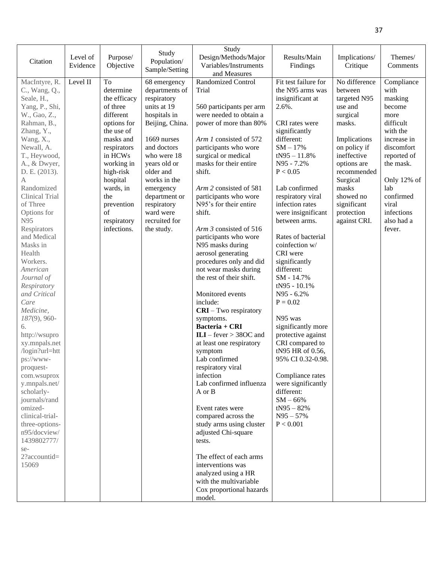| Citation                                                                                                                                                                                                                                                                                                                                                                                                                                                                                                                                                                                                                                                                                          | Level of<br>Evidence | Purpose/<br>Objective                                                                                                                                                                                                                             | Study<br>Population/<br>Sample/Setting                                                                                                                                                                                                                                             | Study<br>Design/Methods/Major<br>Variables/Instruments<br>and Measures                                                                                                                                                                                                                                                                                                                                                                                                                                                                                                                                                                                                                                                                                                                                                                                                                                                                                                                                    | Results/Main<br>Findings                                                                                                                                                                                                                                                                                                                                                                                                                                                                                                                                                                                                                                              | Implications/<br>Critique                                                                                                                                                                                                             | Themes/<br>Comments                                                                                                                                                                                                 |
|---------------------------------------------------------------------------------------------------------------------------------------------------------------------------------------------------------------------------------------------------------------------------------------------------------------------------------------------------------------------------------------------------------------------------------------------------------------------------------------------------------------------------------------------------------------------------------------------------------------------------------------------------------------------------------------------------|----------------------|---------------------------------------------------------------------------------------------------------------------------------------------------------------------------------------------------------------------------------------------------|------------------------------------------------------------------------------------------------------------------------------------------------------------------------------------------------------------------------------------------------------------------------------------|-----------------------------------------------------------------------------------------------------------------------------------------------------------------------------------------------------------------------------------------------------------------------------------------------------------------------------------------------------------------------------------------------------------------------------------------------------------------------------------------------------------------------------------------------------------------------------------------------------------------------------------------------------------------------------------------------------------------------------------------------------------------------------------------------------------------------------------------------------------------------------------------------------------------------------------------------------------------------------------------------------------|-----------------------------------------------------------------------------------------------------------------------------------------------------------------------------------------------------------------------------------------------------------------------------------------------------------------------------------------------------------------------------------------------------------------------------------------------------------------------------------------------------------------------------------------------------------------------------------------------------------------------------------------------------------------------|---------------------------------------------------------------------------------------------------------------------------------------------------------------------------------------------------------------------------------------|---------------------------------------------------------------------------------------------------------------------------------------------------------------------------------------------------------------------|
| MacIntyre, R.<br>C., Wang, Q.,<br>Seale, H.,<br>Yang, P., Shi,<br>W., Gao, Z.,<br>Rahman, B.,<br>Zhang, Y.,<br>Wang, X.,<br>Newall, A.<br>T., Heywood,<br>A., & Dwyer,<br>D. E. (2013).<br>A<br>Randomized<br>Clinical Trial<br>of Three<br>Options for<br>N95<br>Respirators<br>and Medical<br>Masks in<br>Health<br>Workers.<br>American<br>Journal of<br>Respiratory<br>and Critical<br>Care<br>Medicine,<br>$187(9)$ , 960-<br>6.<br>http://wsupro<br>xy.mnpals.net<br>/login?url=htt<br>ps://www-<br>proquest-<br>com.wsuprox<br>y.mnpals.net/<br>scholarly-<br>journals/rand<br>omized-<br>clinical-trial-<br>three-options-<br>n95/docview/<br>1439802777/<br>se-<br>2?accountid=<br>15069 | Level II             | To<br>determine<br>the efficacy<br>of three<br>different<br>options for<br>the use of<br>masks and<br>respirators<br>in HCWs<br>working in<br>high-risk<br>hospital<br>wards, in<br>the<br>prevention<br>$\sigma$ f<br>respiratory<br>infections. | 68 emergency<br>departments of<br>respiratory<br>units at 19<br>hospitals in<br>Beijing, China.<br>1669 nurses<br>and doctors<br>who were 18<br>years old or<br>older and<br>works in the<br>emergency<br>department or<br>respiratory<br>ward were<br>recruited for<br>the study. | <b>Randomized Control</b><br>Trial<br>560 participants per arm<br>were needed to obtain a<br>power of more than 80%<br>Arm 1 consisted of 572<br>participants who wore<br>surgical or medical<br>masks for their entire<br>shift.<br>Arm 2 consisted of 581<br>participants who wore<br>N95's for their entire<br>shift.<br>Arm 3 consisted of 516<br>participants who wore<br>N95 masks during<br>aerosol generating<br>procedures only and did<br>not wear masks during<br>the rest of their shift.<br>Monitored events<br>include:<br>$CRI - Two$ respiratory<br>symptoms.<br>Bacteria + CRI<br>$ILI - fever > 38OC$ and<br>at least one respiratory<br>symptom<br>Lab confirmed<br>respiratory viral<br>infection<br>Lab confirmed influenza<br>A or B<br>Event rates were<br>compared across the<br>study arms using cluster<br>adjusted Chi-square<br>tests.<br>The effect of each arms<br>interventions was<br>analyzed using a HR<br>with the multivariable<br>Cox proportional hazards<br>model. | Fit test failure for<br>the N95 arms was<br>insignificant at<br>2.6%.<br>CRI rates were<br>significantly<br>different:<br>$SM - 17%$<br>$tN95 - 11.8%$<br>N95 - 7.2%<br>P < 0.05<br>Lab confirmed<br>respiratory viral<br>infection rates<br>were insignificant<br>between arms.<br>Rates of bacterial<br>coinfection w/<br>CRI were<br>significantly<br>different:<br>SM - 14.7%<br>$tN95 - 10.1%$<br>N95 - 6.2%<br>$P = 0.02$<br>N95 was<br>significantly more<br>protective against<br>CRI compared to<br>tN95 HR of 0.56,<br>95% CI 0.32-0.98.<br>Compliance rates<br>were significantly<br>different:<br>$SM - 66%$<br>$tN95 - 82%$<br>$N95 - 57\%$<br>P < 0.001 | No difference<br>between<br>targeted N95<br>use and<br>surgical<br>masks.<br>Implications<br>on policy if<br>ineffective<br>options are<br>recommended<br>Surgical<br>masks<br>showed no<br>significant<br>protection<br>against CRI. | Compliance<br>with<br>masking<br>become<br>more<br>difficult<br>with the<br>increase in<br>discomfort<br>reported of<br>the mask.<br>Only 12% of<br>lab<br>confirmed<br>viral<br>infections<br>also had a<br>fever. |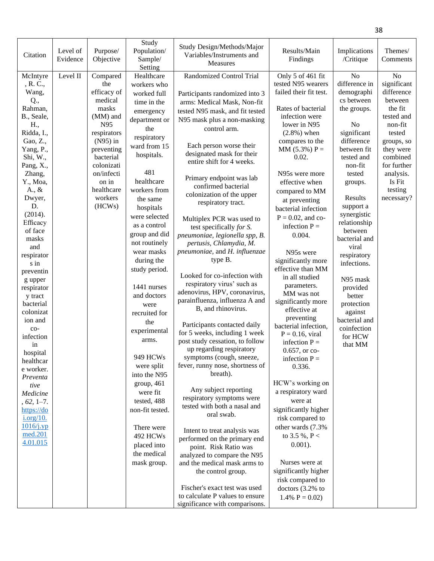| Citation       | Level of<br>Evidence | Purpose/<br>Objective | Study<br>Population/<br>Sample/ | Study Design/Methods/Major<br>Variables/Instruments and<br>Measures | Results/Main<br>Findings                | Implications<br>/Critique | Themes/<br>Comments       |
|----------------|----------------------|-----------------------|---------------------------------|---------------------------------------------------------------------|-----------------------------------------|---------------------------|---------------------------|
|                |                      |                       | Setting<br>Healthcare           | <b>Randomized Control Trial</b>                                     |                                         | N <sub>o</sub>            | N <sub>o</sub>            |
| McIntyre       | Level II             | Compared              |                                 |                                                                     | Only 5 of 461 fit<br>tested N95 wearers | difference in             |                           |
| , R. C.,       |                      | the<br>efficacy of    | workers who                     |                                                                     | failed their fit test.                  |                           | significant<br>difference |
| Wang,          |                      | medical               | worked full                     | Participants randomized into 3                                      |                                         | demographi<br>cs between  | between                   |
| Q.,<br>Rahman, |                      | masks                 | time in the                     | arms: Medical Mask, Non-fit                                         | Rates of bacterial                      |                           | the fit                   |
| B., Seale,     |                      | (MM) and              | emergency                       | tested N95 mask, and fit tested                                     | infection were                          | the groups.               | tested and                |
| H.,            |                      | N95                   | department or                   | N95 mask plus a non-masking                                         | lower in N95                            | No                        | non-fit                   |
| Ridda, I.,     |                      | respirators           | the                             | control arm.                                                        | $(2.8\%)$ when                          | significant               | tested                    |
| Gao, Z.,       |                      | $(N95)$ in            | respiratory                     |                                                                     | compares to the                         | difference                | groups, so                |
| Yang, P.,      |                      | preventing            | ward from 15                    | Each person worse their                                             | $MM (5.3\%) P =$                        | between fit               | they were                 |
| Shi, W.,       |                      | bacterial             | hospitals.                      | designated mask for their                                           | 0.02.                                   | tested and                | combined                  |
| Pang, X.,      |                      | colonizati            |                                 | entire shift for 4 weeks.                                           |                                         | non-fit                   | for further               |
| Zhang,         |                      | on/infecti            | 481                             |                                                                     | N95s were more                          | tested                    | analysis.                 |
| Y., Moa,       |                      | on in                 | healthcare                      | Primary endpoint was lab                                            | effective when                          | groups.                   | Is Fit                    |
| A., $\&$       |                      | healthcare            | workers from                    | confirmed bacterial                                                 |                                         |                           | testing                   |
| Dwyer,         |                      | workers               | the same                        | colonization of the upper                                           | compared to MM                          | Results                   | necessary?                |
| D.             |                      | (HCWs)                | hospitals                       | respiratory tract.                                                  | at preventing                           | support a                 |                           |
| (2014).        |                      |                       | were selected                   |                                                                     | bacterial infection                     | synergistic               |                           |
| Efficacy       |                      |                       |                                 | Multiplex PCR was used to                                           | $P = 0.02$ , and co-                    | relationship              |                           |
| of face        |                      |                       | as a control                    | test specifically for S.                                            | infection $P =$                         | between                   |                           |
| masks          |                      |                       | group and did                   | pneumoniae, legionella spp, B.                                      | 0.004.                                  | bacterial and             |                           |
| and            |                      |                       | not routinely                   | pertusis, Chlamydia, M.                                             |                                         | viral                     |                           |
| respirator     |                      |                       | wear masks                      | pneumoniae, and H. influenzae                                       | N95s were                               | respiratory               |                           |
| s in           |                      |                       | during the                      | type B.                                                             | significantly more                      | infections.               |                           |
| preventin      |                      |                       | study period.                   |                                                                     | effective than MM                       |                           |                           |
| g upper        |                      |                       |                                 | Looked for co-infection with                                        | in all studied                          | N95 mask                  |                           |
| respirator     |                      |                       | 1441 nurses                     | respiratory virus' such as                                          | parameters.                             | provided                  |                           |
| y tract        |                      |                       | and doctors                     | adenovirus, HPV, coronavirus,                                       | MM was not                              | better                    |                           |
| bacterial      |                      |                       | were                            | parainfluenza, influenza A and                                      | significantly more                      | protection                |                           |
| colonizat      |                      |                       | recruited for                   | B, and rhinovirus.                                                  | effective at                            | against                   |                           |
| ion and        |                      |                       | the                             |                                                                     | preventing                              | bacterial and             |                           |
| $_{\rm co}$ -  |                      |                       | experimental                    | Participants contacted daily                                        | bacterial infection,                    | coinfection               |                           |
| infection      |                      |                       | arms.                           | for 5 weeks, including 1 week                                       | $P = 0.16$ , viral                      | for HCW                   |                           |
| in             |                      |                       |                                 | post study cessation, to follow<br>up regarding respiratory         | infection $P =$                         | that MM                   |                           |
| hospital       |                      |                       | 949 HCWs                        | symptoms (cough, sneeze,                                            | 0.657, or co-                           |                           |                           |
| healthcar      |                      |                       |                                 | fever, runny nose, shortness of                                     | infection $P =$                         |                           |                           |
| e worker.      |                      |                       | were split<br>into the N95      | breath).                                                            | 0.336.                                  |                           |                           |
| Preventa       |                      |                       |                                 |                                                                     | HCW's working on                        |                           |                           |
| tive           |                      |                       | group, 461                      | Any subject reporting                                               |                                         |                           |                           |
| Medicine       |                      |                       | were fit                        | respiratory symptoms were                                           | a respiratory ward                      |                           |                           |
| $, 62, 1-7.$   |                      |                       | tested, 488                     | tested with both a nasal and                                        | were at                                 |                           |                           |
| https://do     |                      |                       | non-fit tested.                 | oral swab.                                                          | significantly higher                    |                           |                           |
| i.org/10.      |                      |                       |                                 |                                                                     | risk compared to                        |                           |                           |
| $1016$ /j.yp   |                      |                       | There were                      | Intent to treat analysis was                                        | other wards (7.3%)                      |                           |                           |
| med.201        |                      |                       | 492 HCWs                        | performed on the primary end                                        | to 3.5 %, P <                           |                           |                           |
| 4.01.015       |                      |                       | placed into                     | point. Risk Ratio was                                               | $0.001$ ).                              |                           |                           |
|                |                      |                       | the medical                     | analyzed to compare the N95                                         |                                         |                           |                           |
|                |                      |                       | mask group.                     | and the medical mask arms to                                        | Nurses were at                          |                           |                           |
|                |                      |                       |                                 | the control group.                                                  | significantly higher                    |                           |                           |
|                |                      |                       |                                 |                                                                     | risk compared to                        |                           |                           |
|                |                      |                       |                                 | Fischer's exact test was used                                       | doctors $(3.2\%$ to                     |                           |                           |
|                |                      |                       |                                 | to calculate P values to ensure                                     | 1.4% $P = 0.02$                         |                           |                           |
|                |                      |                       |                                 | significance with comparisons.                                      |                                         |                           |                           |

38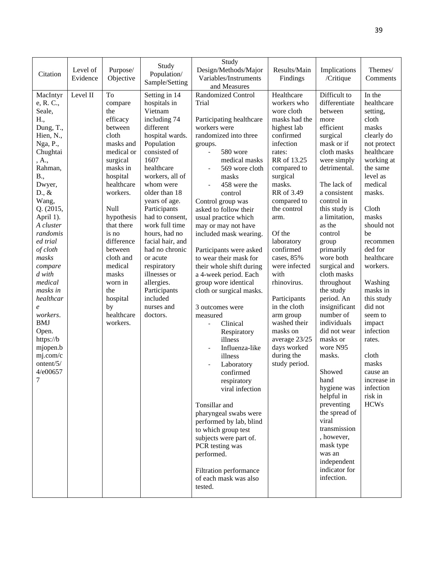| Citation                                                                                                                                                                                                                                                                                                                                                                                                                           | Level of<br>Evidence | Purpose/<br>Objective                                                                                                                                                                                                                                                                                              | Study<br>Population/<br>Sample/Setting                                                                                                                                                                                                                                                                                                                                                                                                    | Study<br>Design/Methods/Major<br>Variables/Instruments<br>and Measures                                                                                                                                                                                                                                                                                                                                                                                                                                                                                                                                                                                                                                                                                                                                                                                                  | Results/Main<br>Findings                                                                                                                                                                                                                                                                                                                                                                                                                               | Implications<br>/Critique                                                                                                                                                                                                                                                                                                                                                                                                                                                                                                                                                                                                                     | Themes/<br>Comments                                                                                                                                                                                                                                                                                                                                                                                                             |
|------------------------------------------------------------------------------------------------------------------------------------------------------------------------------------------------------------------------------------------------------------------------------------------------------------------------------------------------------------------------------------------------------------------------------------|----------------------|--------------------------------------------------------------------------------------------------------------------------------------------------------------------------------------------------------------------------------------------------------------------------------------------------------------------|-------------------------------------------------------------------------------------------------------------------------------------------------------------------------------------------------------------------------------------------------------------------------------------------------------------------------------------------------------------------------------------------------------------------------------------------|-------------------------------------------------------------------------------------------------------------------------------------------------------------------------------------------------------------------------------------------------------------------------------------------------------------------------------------------------------------------------------------------------------------------------------------------------------------------------------------------------------------------------------------------------------------------------------------------------------------------------------------------------------------------------------------------------------------------------------------------------------------------------------------------------------------------------------------------------------------------------|--------------------------------------------------------------------------------------------------------------------------------------------------------------------------------------------------------------------------------------------------------------------------------------------------------------------------------------------------------------------------------------------------------------------------------------------------------|-----------------------------------------------------------------------------------------------------------------------------------------------------------------------------------------------------------------------------------------------------------------------------------------------------------------------------------------------------------------------------------------------------------------------------------------------------------------------------------------------------------------------------------------------------------------------------------------------------------------------------------------------|---------------------------------------------------------------------------------------------------------------------------------------------------------------------------------------------------------------------------------------------------------------------------------------------------------------------------------------------------------------------------------------------------------------------------------|
| MacIntyr<br>e, R. C.,<br>Seale,<br>H.,<br>Dung, T.,<br>Hien, N.,<br>Nga, P.,<br>Chughtai<br>, A.,<br>Rahman,<br>B.,<br>Dwyer,<br>$D_{\cdot}, \&$<br>Wang,<br>Q. (2015,<br>April 1).<br>A cluster<br>randomis<br>ed trial<br>of cloth<br>masks<br>compare<br>$d$ with<br>medical<br>masks in<br>healthcar<br>$\boldsymbol{e}$<br>workers.<br><b>BMJ</b><br>Open.<br>https://b<br>mjopen.b<br>mj.com/c<br>ontent/5/<br>4/e00657<br>7 | Level II             | To<br>compare<br>the<br>efficacy<br>between<br>cloth<br>masks and<br>medical or<br>surgical<br>masks in<br>hospital<br>healthcare<br>workers.<br>Null<br>hypothesis<br>that there<br>is no<br>difference<br>between<br>cloth and<br>medical<br>masks<br>worn in<br>the<br>hospital<br>by<br>healthcare<br>workers. | Setting in 14<br>hospitals in<br>Vietnam<br>including 74<br>different<br>hospital wards.<br>Population<br>consisted of<br>1607<br>healthcare<br>workers, all of<br>whom were<br>older than 18<br>years of age.<br>Participants<br>had to consent,<br>work full time<br>hours, had no<br>facial hair, and<br>had no chronic<br>or acute<br>respiratory<br>illnesses or<br>allergies.<br>Participants<br>included<br>nurses and<br>doctors. | Randomized Control<br>Trial<br>Participating healthcare<br>workers were<br>randomized into three<br>groups.<br>580 wore<br>medical masks<br>569 wore cloth<br>masks<br>458 were the<br>control<br>Control group was<br>asked to follow their<br>usual practice which<br>may or may not have<br>included mask wearing.<br>Participants were asked<br>to wear their mask for<br>their whole shift during<br>a 4-week period. Each<br>group wore identical<br>cloth or surgical masks.<br>3 outcomes were<br>measured<br>Clinical<br>Respiratory<br>illness<br>Influenza-like<br>illness<br>Laboratory<br>confirmed<br>respiratory<br>viral infection<br>Tonsillar and<br>pharyngeal swabs were<br>performed by lab, blind<br>to which group test<br>subjects were part of.<br>PCR testing was<br>performed.<br>Filtration performance<br>of each mask was also<br>tested. | Healthcare<br>workers who<br>wore cloth<br>masks had the<br>highest lab<br>confirmed<br>infection<br>rates:<br>RR of 13.25<br>compared to<br>surgical<br>masks.<br>RR of 3.49<br>compared to<br>the control<br>arm.<br>Of the<br>laboratory<br>confirmed<br>cases, 85%<br>were infected<br>with<br>rhinovirus.<br>Participants<br>in the cloth<br>arm group<br>washed their<br>masks on<br>average 23/25<br>days worked<br>during the<br>study period. | Difficult to<br>differentiate<br>between<br>more<br>efficient<br>surgical<br>mask or if<br>cloth masks<br>were simply<br>detrimental.<br>The lack of<br>a consistent<br>control in<br>this study is<br>a limitation,<br>as the<br>control<br>group<br>primarily<br>wore both<br>surgical and<br>cloth masks<br>throughout<br>the study<br>period. An<br>insignificant<br>number of<br>individuals<br>did not wear<br>masks or<br>wore N95<br>masks.<br>Showed<br>hand<br>hygiene was<br>helpful in<br>preventing<br>the spread of<br>viral<br>transmission<br>, however,<br>mask type<br>was an<br>independent<br>indicator for<br>infection. | In the<br>healthcare<br>setting,<br>cloth<br>masks<br>clearly do<br>not protect<br>healthcare<br>working at<br>the same<br>level as<br>medical<br>masks.<br>Cloth<br>masks<br>should not<br>be<br>recommen<br>ded for<br>healthcare<br>workers.<br>Washing<br>masks in<br>this study<br>did not<br>seem to<br>impact<br>infection<br>rates.<br>cloth<br>masks<br>cause an<br>increase in<br>infection<br>risk in<br><b>HCWs</b> |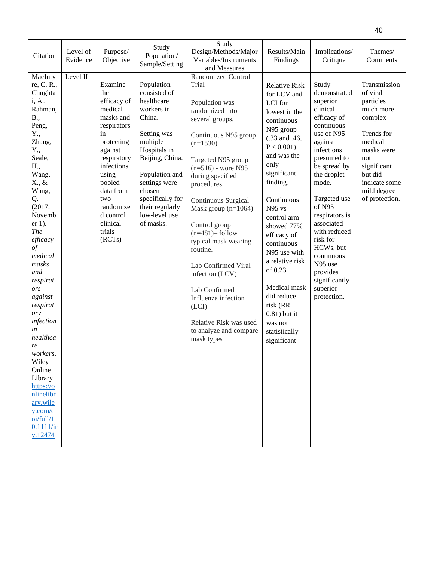| Citation                                                                                                                                                                                                                                                                                                                                                                                                                                                                     | Level of<br>Evidence | Purpose/<br>Objective                                                                                                                                                                                                             | Study<br>Population/<br>Sample/Setting                                                                                                                                                                                                           | Study<br>Design/Methods/Major<br>Variables/Instruments<br>and Measures                                                                                                                                                                                                                                                                                                                                                                                                                                   | Results/Main<br>Findings                                                                                                                                                                                                                                                                                                                                                                                                        | Implications/<br>Critique                                                                                                                                                                                                                                                                                                                                    | Themes/<br>Comments                                                                                                                                                                     |
|------------------------------------------------------------------------------------------------------------------------------------------------------------------------------------------------------------------------------------------------------------------------------------------------------------------------------------------------------------------------------------------------------------------------------------------------------------------------------|----------------------|-----------------------------------------------------------------------------------------------------------------------------------------------------------------------------------------------------------------------------------|--------------------------------------------------------------------------------------------------------------------------------------------------------------------------------------------------------------------------------------------------|----------------------------------------------------------------------------------------------------------------------------------------------------------------------------------------------------------------------------------------------------------------------------------------------------------------------------------------------------------------------------------------------------------------------------------------------------------------------------------------------------------|---------------------------------------------------------------------------------------------------------------------------------------------------------------------------------------------------------------------------------------------------------------------------------------------------------------------------------------------------------------------------------------------------------------------------------|--------------------------------------------------------------------------------------------------------------------------------------------------------------------------------------------------------------------------------------------------------------------------------------------------------------------------------------------------------------|-----------------------------------------------------------------------------------------------------------------------------------------------------------------------------------------|
| MacInty<br>re, C. R.,<br>Chughta<br>i, A.,<br>Rahman,<br>B.,<br>Peng,<br>Y.,<br>Zhang,<br>Y.,<br>Seale,<br>H.,<br>Wang,<br>X., &<br>Wang,<br>Q.<br>(2017,<br>Novemb<br>$er 1$ ).<br><b>The</b><br>efficacy<br>$\circ f$<br>medical<br>masks<br>and<br>respirat<br>ors<br>against<br>respirat<br>ory<br>infection<br>in<br>healthca<br>re<br>workers.<br>Wiley<br>Online<br>Library.<br>https://o<br>nlinelibr<br>ary.wile<br>$y$ .com/d<br>oi/full/1<br>0.1111/ir<br>v.12474 | Level II             | Examine<br>the<br>efficacy of<br>medical<br>masks and<br>respirators<br>in<br>protecting<br>against<br>respiratory<br>infections<br>using<br>pooled<br>data from<br>two<br>randomize<br>d control<br>clinical<br>trials<br>(RCTs) | Population<br>consisted of<br>healthcare<br>workers in<br>China.<br>Setting was<br>multiple<br>Hospitals in<br>Beijing, China.<br>Population and<br>settings were<br>chosen<br>specifically for<br>their regularly<br>low-level use<br>of masks. | <b>Randomized Control</b><br>Trial<br>Population was<br>randomized into<br>several groups.<br>Continuous N95 group<br>$(n=1530)$<br>Targeted N95 group<br>$(n=516)$ - wore N95<br>during specified<br>procedures.<br>Continuous Surgical<br>Mask group $(n=1064)$<br>Control group<br>$(n=481)$ -follow<br>typical mask wearing<br>routine.<br>Lab Confirmed Viral<br>infection (LCV)<br>Lab Confirmed<br>Influenza infection<br>(LCI)<br>Relative Risk was used<br>to analyze and compare<br>mask types | <b>Relative Risk</b><br>for LCV and<br>LCI for<br>lowest in the<br>continuous<br>N95 group<br>$(.33$ and $.46$ ,<br>$P < 0.001$ )<br>and was the<br>only<br>significant<br>finding.<br>Continuous<br>N95 vs<br>control arm<br>showed 77%<br>efficacy of<br>continuous<br>N95 use with<br>a relative risk<br>of 0.23<br>Medical mask<br>did reduce<br>risk $(RR -$<br>$0.81$ ) but it<br>was not<br>statistically<br>significant | Study<br>demonstrated<br>superior<br>clinical<br>efficacy of<br>continuous<br>use of N95<br>against<br>infections<br>presumed to<br>be spread by<br>the droplet<br>mode.<br>Targeted use<br>of N95<br>respirators is<br>associated<br>with reduced<br>risk for<br>HCWs, but<br>continuous<br>N95 use<br>provides<br>significantly<br>superior<br>protection. | Transmission<br>of viral<br>particles<br>much more<br>complex<br>Trends for<br>medical<br>masks were<br>not<br>significant<br>but did<br>indicate some<br>mild degree<br>of protection. |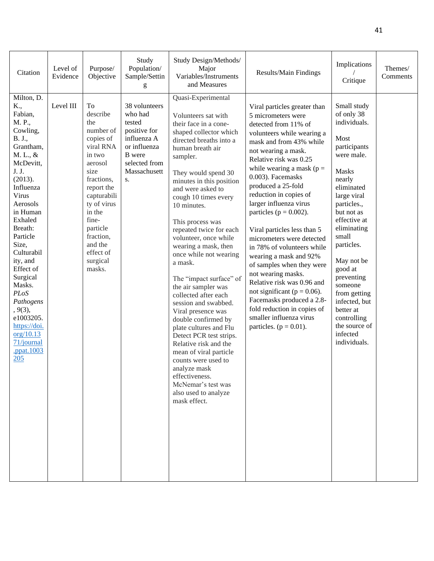| Citation                                                                                                                                                                                                                                                                                                                                                                                  | Level of<br>Evidence | Purpose/<br>Objective                                                                                                                                                                                                                         | Study<br>Population/<br>Sample/Settin<br>g                                                                                                | Study Design/Methods/<br>Major<br>Variables/Instruments<br>and Measures                                                                                                                                                                                                                                                                                                                                                                                                                                                                                                                                                                                                                                                                                                                   | Results/Main Findings                                                                                                                                                                                                                                                                                                                                                                                                                                                                                                                                                                                                                                                                                          | Implications<br>Critique                                                                                                                                                                                                                                                                                                                                                              | Themes/<br>Comments |
|-------------------------------------------------------------------------------------------------------------------------------------------------------------------------------------------------------------------------------------------------------------------------------------------------------------------------------------------------------------------------------------------|----------------------|-----------------------------------------------------------------------------------------------------------------------------------------------------------------------------------------------------------------------------------------------|-------------------------------------------------------------------------------------------------------------------------------------------|-------------------------------------------------------------------------------------------------------------------------------------------------------------------------------------------------------------------------------------------------------------------------------------------------------------------------------------------------------------------------------------------------------------------------------------------------------------------------------------------------------------------------------------------------------------------------------------------------------------------------------------------------------------------------------------------------------------------------------------------------------------------------------------------|----------------------------------------------------------------------------------------------------------------------------------------------------------------------------------------------------------------------------------------------------------------------------------------------------------------------------------------------------------------------------------------------------------------------------------------------------------------------------------------------------------------------------------------------------------------------------------------------------------------------------------------------------------------------------------------------------------------|---------------------------------------------------------------------------------------------------------------------------------------------------------------------------------------------------------------------------------------------------------------------------------------------------------------------------------------------------------------------------------------|---------------------|
| Milton, D.<br>K.,<br>Fabian,<br>M. P.,<br>Cowling,<br>B. J.,<br>Grantham,<br>M. L., &<br>McDevitt,<br>J. J.<br>(2013).<br>Influenza<br>Virus<br>Aerosols<br>in Human<br>Exhaled<br>Breath:<br>Particle<br>Size,<br>Culturabil<br>ity, and<br>Effect of<br>Surgical<br>Masks.<br>PLoS<br>Pathogens<br>, 9(3),<br>e1003205.<br>https://doi.<br>org/10.13<br>71/journal<br>.ppat.1003<br>205 | Level III            | To<br>describe<br>the<br>number of<br>copies of<br>viral RNA<br>in two<br>aerosol<br>size<br>fractions,<br>report the<br>capturabili<br>ty of virus<br>in the<br>fine-<br>particle<br>fraction,<br>and the<br>effect of<br>surgical<br>masks. | 38 volunteers<br>who had<br>tested<br>positive for<br>influenza A<br>or influenza<br><b>B</b> were<br>selected from<br>Massachusett<br>S. | Quasi-Experimental<br>Volunteers sat with<br>their face in a cone-<br>shaped collector which<br>directed breaths into a<br>human breath air<br>sampler.<br>They would spend 30<br>minutes in this position<br>and were asked to<br>cough 10 times every<br>10 minutes.<br>This process was<br>repeated twice for each<br>volunteer, once while<br>wearing a mask, then<br>once while not wearing<br>a mask.<br>The "impact surface" of<br>the air sampler was<br>collected after each<br>session and swabbed.<br>Viral presence was<br>double confirmed by<br>plate cultures and Flu<br>Detect PCR test strips.<br>Relative risk and the<br>mean of viral particle<br>counts were used to<br>analyze mask<br>effectiveness.<br>McNemar's test was<br>also used to analyze<br>mask effect. | Viral particles greater than<br>5 micrometers were<br>detected from 11% of<br>volunteers while wearing a<br>mask and from 43% while<br>not wearing a mask.<br>Relative risk was 0.25<br>while wearing a mask ( $p =$<br>0.003). Facemasks<br>produced a 25-fold<br>reduction in copies of<br>larger influenza virus<br>particles ( $p = 0.002$ ).<br>Viral particles less than 5<br>micrometers were detected<br>in 78% of volunteers while<br>wearing a mask and 92%<br>of samples when they were<br>not wearing masks.<br>Relative risk was 0.96 and<br>not significant ( $p = 0.06$ ).<br>Facemasks produced a 2.8-<br>fold reduction in copies of<br>smaller influenza virus<br>particles. ( $p = 0.01$ ). | Small study<br>of only 38<br>individuals.<br>Most<br>participants<br>were male.<br><b>Masks</b><br>nearly<br>eliminated<br>large viral<br>particles.,<br>but not as<br>effective at<br>eliminating<br>small<br>particles.<br>May not be<br>good at<br>preventing<br>someone<br>from getting<br>infected, but<br>better at<br>controlling<br>the source of<br>infected<br>individuals. |                     |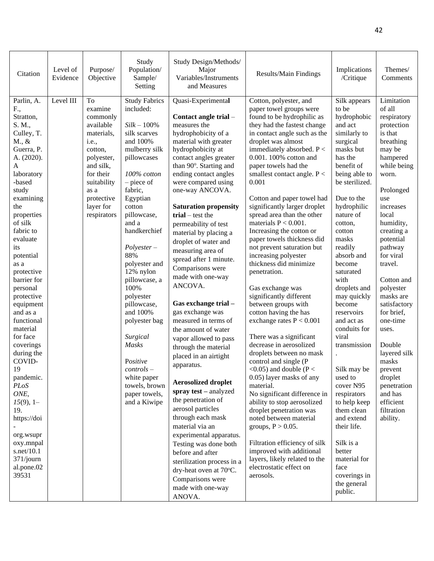| Citation                                                                                                                                                                                                                                                                                                                                                                                                                                                                                                                                                             | Level of<br>Evidence | Purpose/<br>Objective                                                                                                                                                                     | Study<br>Population/<br>Sample/<br>Setting                                                                                                                                                                                                                                                                                                                                                                                                                                       | Study Design/Methods/<br>Major<br>Variables/Instruments<br>and Measures                                                                                                                                                                                                                                                                                                                                                                                                                                                                                                                                                                                                                                                                                                                                                                                                                                                                                                    | Results/Main Findings                                                                                                                                                                                                                                                                                                                                                                                                                                                                                                                                                                                                                                                                                                                                                                                                                                                                                                                                                                                                                                                                                                                                                              | Implications<br>/Critique                                                                                                                                                                                                                                                                                                                                                                                                                                                                                                                                                                                  | Themes/<br>Comments                                                                                                                                                                                                                                                                                                                                                                                                                                               |
|----------------------------------------------------------------------------------------------------------------------------------------------------------------------------------------------------------------------------------------------------------------------------------------------------------------------------------------------------------------------------------------------------------------------------------------------------------------------------------------------------------------------------------------------------------------------|----------------------|-------------------------------------------------------------------------------------------------------------------------------------------------------------------------------------------|----------------------------------------------------------------------------------------------------------------------------------------------------------------------------------------------------------------------------------------------------------------------------------------------------------------------------------------------------------------------------------------------------------------------------------------------------------------------------------|----------------------------------------------------------------------------------------------------------------------------------------------------------------------------------------------------------------------------------------------------------------------------------------------------------------------------------------------------------------------------------------------------------------------------------------------------------------------------------------------------------------------------------------------------------------------------------------------------------------------------------------------------------------------------------------------------------------------------------------------------------------------------------------------------------------------------------------------------------------------------------------------------------------------------------------------------------------------------|------------------------------------------------------------------------------------------------------------------------------------------------------------------------------------------------------------------------------------------------------------------------------------------------------------------------------------------------------------------------------------------------------------------------------------------------------------------------------------------------------------------------------------------------------------------------------------------------------------------------------------------------------------------------------------------------------------------------------------------------------------------------------------------------------------------------------------------------------------------------------------------------------------------------------------------------------------------------------------------------------------------------------------------------------------------------------------------------------------------------------------------------------------------------------------|------------------------------------------------------------------------------------------------------------------------------------------------------------------------------------------------------------------------------------------------------------------------------------------------------------------------------------------------------------------------------------------------------------------------------------------------------------------------------------------------------------------------------------------------------------------------------------------------------------|-------------------------------------------------------------------------------------------------------------------------------------------------------------------------------------------------------------------------------------------------------------------------------------------------------------------------------------------------------------------------------------------------------------------------------------------------------------------|
| Parlin, A.<br>F.,<br>Stratton,<br>S. M.,<br>Culley, T.<br>M., &<br>Guerra, P.<br>A. (2020).<br>$\mathbf{A}$<br>laboratory<br>-based<br>study<br>examining<br>the<br>properties<br>of silk<br>fabric to<br>evaluate<br>its<br>potential<br>as a<br>protective<br>barrier for<br>personal<br>protective<br>equipment<br>and as a<br>functional<br>material<br>for face<br>coverings<br>during the<br>COVID-<br>19<br>pandemic.<br>PLoS<br>ONE,<br>$15(9)$ , 1-<br>19.<br>https://doi<br>org.wsupr<br>oxy.mnpal<br>s.net/ $10.1$<br>$371$ /journ<br>al.pone.02<br>39531 | Level III            | To<br>examine<br>commonly<br>available<br>materials,<br><i>i.e.</i> ,<br>cotton,<br>polyester,<br>and silk,<br>for their<br>suitability<br>as a<br>protective<br>layer for<br>respirators | <b>Study Fabrics</b><br>included:<br>$Silk - 100\%$<br>silk scarves<br>and 100%<br>mulberry silk<br>pillowcases<br>100% cotton<br>$-$ piece of<br>fabric,<br>Egyptian<br>cotton<br>pillowcase,<br>and a<br>handkerchief<br>$Polyester-$<br>88%<br>polyester and<br>12% nylon<br>pillowcase, a<br>100%<br>polyester<br>pillowcase,<br>and 100%<br>polyester bag<br>Surgical<br>Masks<br>Positive<br>$controls -$<br>white paper<br>towels, brown<br>paper towels,<br>and a Kiwipe | Quasi-Experimental<br>Contact angle trial -<br>measures the<br>hydrophobicity of a<br>material with greater<br>hydrophobicity at<br>contact angles greater<br>than 90°. Starting and<br>ending contact angles<br>were compared using<br>one-way ANCOVA.<br><b>Saturation propensity</b><br>$trial - test$ the<br>permeability of test<br>material by placing a<br>droplet of water and<br>measuring area of<br>spread after 1 minute.<br>Comparisons were<br>made with one-way<br>ANCOVA.<br>Gas exchange trial -<br>gas exchange was<br>measured in terms of<br>the amount of water<br>vapor allowed to pass<br>through the material<br>placed in an airtight<br>apparatus.<br><b>Aerosolized droplet</b><br>spray test - analyzed<br>the penetration of<br>aerosol particles<br>through each mask<br>material via an<br>experimental apparatus.<br>Testing was done both<br>before and after<br>sterilization process in a<br>dry-heat oven at 70°C.<br>Comparisons were | Cotton, polyester, and<br>paper towel groups were<br>found to be hydrophilic as<br>they had the fastest change<br>in contact angle such as the<br>droplet was almost<br>immediately absorbed. $P <$<br>0.001. 100% cotton and<br>paper towels had the<br>smallest contact angle. $P <$<br>0.001<br>Cotton and paper towel had<br>significantly larger droplet<br>spread area than the other<br>materials $P < 0.001$ .<br>Increasing the cotton or<br>paper towels thickness did<br>not prevent saturation but<br>increasing polyester<br>thickness did minimize<br>penetration.<br>Gas exchange was<br>significantly different<br>between groups with<br>cotton having the has<br>exchange rates $P < 0.001$<br>There was a significant<br>decrease in aerosolized<br>droplets between no mask<br>control and single (P<br>$<$ 0.05) and double (P $<$<br>0.05) layer masks of any<br>material.<br>No significant difference in<br>ability to stop aerosolized<br>droplet penetration was<br>noted between material<br>groups, $P > 0.05$ .<br>Filtration efficiency of silk<br>improved with additional<br>layers, likely related to the<br>electrostatic effect on<br>aerosols. | Silk appears<br>to be<br>hydrophobic<br>and act<br>similarly to<br>surgical<br>masks but<br>has the<br>benefit of<br>being able to<br>be sterilized.<br>Due to the<br>hydrophilic<br>nature of<br>cotton,<br>cotton<br>masks<br>readily<br>absorb and<br>become<br>saturated<br>with<br>droplets and<br>may quickly<br>become<br>reservoirs<br>and act as<br>conduits for<br>viral<br>transmission<br>$\ddot{\phantom{a}}$<br>Silk may be<br>used to<br>cover N95<br>respirators<br>to help keep<br>them clean<br>and extend<br>their life.<br>Silk is a<br>better<br>material for<br>face<br>coverings in | Limitation<br>of all<br>respiratory<br>protection<br>is that<br>breathing<br>may be<br>hampered<br>while being<br>worn.<br>Prolonged<br>use<br>increases<br>local<br>humidity,<br>creating a<br>potential<br>pathway<br>for viral<br>travel.<br>Cotton and<br>polyester<br>masks are<br>satisfactory<br>for brief,<br>one-time<br>uses.<br>Double<br>layered silk<br>masks<br>prevent<br>droplet<br>penetration<br>and has<br>efficient<br>filtration<br>ability. |
|                                                                                                                                                                                                                                                                                                                                                                                                                                                                                                                                                                      |                      |                                                                                                                                                                                           |                                                                                                                                                                                                                                                                                                                                                                                                                                                                                  | made with one-way<br>ANOVA.                                                                                                                                                                                                                                                                                                                                                                                                                                                                                                                                                                                                                                                                                                                                                                                                                                                                                                                                                |                                                                                                                                                                                                                                                                                                                                                                                                                                                                                                                                                                                                                                                                                                                                                                                                                                                                                                                                                                                                                                                                                                                                                                                    | the general<br>public.                                                                                                                                                                                                                                                                                                                                                                                                                                                                                                                                                                                     |                                                                                                                                                                                                                                                                                                                                                                                                                                                                   |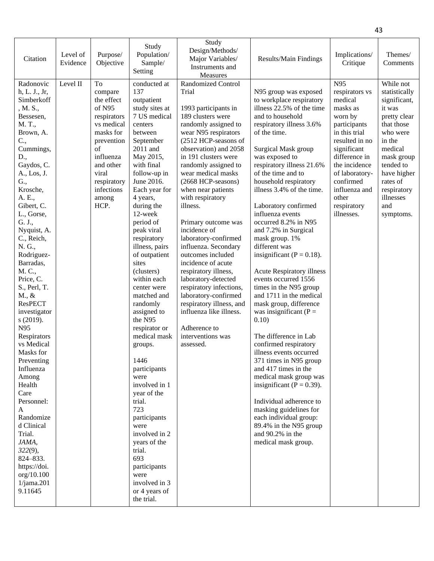| Citation                                                                                                                                                                                                                                                                                                                                                                                                                                                                                                                                                                                                                                                | Level of<br>Evidence | Purpose/<br>Objective                                                                                                                                                                | Study<br>Population/<br>Sample/<br>Setting                                                                                                                                                                                                                                                                                                                                                                                                                                                                                                                                                                                                                                                              | Study<br>Design/Methods/<br>Major Variables/<br>Instruments and<br>Measures                                                                                                                                                                                                                                                                                                                                                                                                                                                                                                                                                                                                     | Results/Main Findings                                                                                                                                                                                                                                                                                                                                                                                                                                                                                                                                                                                                                                                                                                                                                                                                                                                                                                                                                                              | Implications/<br>Critique                                                                                                                                                                                                                          | Themes/<br>Comments                                                                                                                                                                                                       |
|---------------------------------------------------------------------------------------------------------------------------------------------------------------------------------------------------------------------------------------------------------------------------------------------------------------------------------------------------------------------------------------------------------------------------------------------------------------------------------------------------------------------------------------------------------------------------------------------------------------------------------------------------------|----------------------|--------------------------------------------------------------------------------------------------------------------------------------------------------------------------------------|---------------------------------------------------------------------------------------------------------------------------------------------------------------------------------------------------------------------------------------------------------------------------------------------------------------------------------------------------------------------------------------------------------------------------------------------------------------------------------------------------------------------------------------------------------------------------------------------------------------------------------------------------------------------------------------------------------|---------------------------------------------------------------------------------------------------------------------------------------------------------------------------------------------------------------------------------------------------------------------------------------------------------------------------------------------------------------------------------------------------------------------------------------------------------------------------------------------------------------------------------------------------------------------------------------------------------------------------------------------------------------------------------|----------------------------------------------------------------------------------------------------------------------------------------------------------------------------------------------------------------------------------------------------------------------------------------------------------------------------------------------------------------------------------------------------------------------------------------------------------------------------------------------------------------------------------------------------------------------------------------------------------------------------------------------------------------------------------------------------------------------------------------------------------------------------------------------------------------------------------------------------------------------------------------------------------------------------------------------------------------------------------------------------|----------------------------------------------------------------------------------------------------------------------------------------------------------------------------------------------------------------------------------------------------|---------------------------------------------------------------------------------------------------------------------------------------------------------------------------------------------------------------------------|
| Radonovic<br>h, L. J., Jr,<br>Simberkoff<br>, M. S.,<br>Bessesen,<br>M. T.,<br>Brown, A.<br>C.,<br>Cummings,<br>D.,<br>Gaydos, C.<br>A., Los, J.<br>G.,<br>Krosche,<br>A. E.,<br>Gibert, C.<br>L., Gorse,<br>G. J.,<br>Nyquist, A.<br>C., Reich,<br>N. G.,<br>Rodriguez-<br>Barradas,<br>M. C.,<br>Price, C.<br>S., Perl, T.<br>$M_{\cdot}$ , &<br><b>ResPECT</b><br>investigator<br>s (2019).<br>N95<br>Respirators<br>vs Medical<br>Masks for<br>Preventing<br>Influenza<br>Among<br>Health<br>Care<br>Personnel:<br>A<br>Randomize<br>d Clinical<br>Trial.<br>JAMA,<br>$322(9)$ ,<br>824-833.<br>https://doi.<br>org/10.100<br>1/jama.201<br>9.11645 | Level II             | To<br>compare<br>the effect<br>of N95<br>respirators<br>vs medical<br>masks for<br>prevention<br>of<br>influenza<br>and other<br>viral<br>respiratory<br>infections<br>among<br>HCP. | conducted at<br>137<br>outpatient<br>study sites at<br>7 US medical<br>centers<br>between<br>September<br>2011 and<br>May 2015,<br>with final<br>follow-up in<br>June 2016.<br>Each year for<br>4 years,<br>during the<br>12-week<br>period of<br>peak viral<br>respiratory<br>illness, pairs<br>of outpatient<br>sites<br>(clusters)<br>within each<br>center were<br>matched and<br>randomly<br>assigned to<br>the N95<br>respirator or<br>medical mask<br>groups.<br>1446<br>participants<br>were<br>involved in 1<br>year of the<br>trial.<br>723<br>participants<br>were<br>involved in 2<br>years of the<br>trial.<br>693<br>participants<br>were<br>involved in 3<br>or 4 years of<br>the trial. | <b>Randomized Control</b><br>Trial<br>1993 participants in<br>189 clusters were<br>randomly assigned to<br>wear N95 respirators<br>(2512 HCP-seasons of<br>observation) and 2058<br>in 191 clusters were<br>randomly assigned to<br>wear medical masks<br>(2668 HCP-seasons)<br>when near patients<br>with respiratory<br>illness.<br>Primary outcome was<br>incidence of<br>laboratory-confirmed<br>influenza. Secondary<br>outcomes included<br>incidence of acute<br>respiratory illness,<br>laboratory-detected<br>respiratory infections,<br>laboratory-confirmed<br>respiratory illness, and<br>influenza like illness.<br>Adherence to<br>interventions was<br>assessed. | N95 group was exposed<br>to workplace respiratory<br>illness 22.5% of the time<br>and to household<br>respiratory illness 3.6%<br>of the time.<br>Surgical Mask group<br>was exposed to<br>respiratory illness 21.6%<br>of the time and to<br>household respiratory<br>illness 3.4% of the time.<br>Laboratory confirmed<br>influenza events<br>occurred 8.2% in N95<br>and 7.2% in Surgical<br>mask group. 1%<br>different was<br>insignificant ( $P = 0.18$ ).<br><b>Acute Respiratory illness</b><br>events occurred 1556<br>times in the N95 group<br>and 1711 in the medical<br>mask group, difference<br>was insignificant ( $P =$<br>0.10)<br>The difference in Lab<br>confirmed respiratory<br>illness events occurred<br>371 times in N95 group<br>and 417 times in the<br>medical mask group was<br>insignificant ( $P = 0.39$ ).<br>Individual adherence to<br>masking guidelines for<br>each individual group:<br>89.4% in the N95 group<br>and $90.2\%$ in the<br>medical mask group. | N95<br>respirators vs<br>medical<br>masks as<br>worn by<br>participants<br>in this trial<br>resulted in no.<br>significant<br>difference in<br>the incidence<br>of laboratory-<br>confirmed<br>influenza and<br>other<br>respiratory<br>illnesses. | While not<br>statistically<br>significant,<br>it was<br>pretty clear<br>that those<br>who were<br>in the<br>medical<br>mask group<br>tended to<br>have higher<br>rates of<br>respiratory<br>illnesses<br>and<br>symptoms. |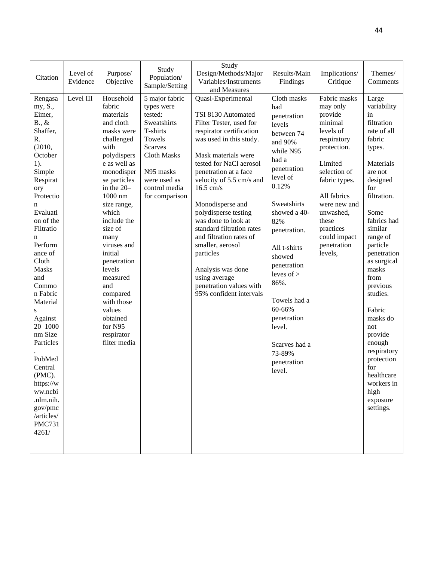|                       |           |                        | Study                  | Study                                         |               |                    |                       |
|-----------------------|-----------|------------------------|------------------------|-----------------------------------------------|---------------|--------------------|-----------------------|
| Citation              | Level of  | Purpose/               | Population/            | Design/Methods/Major                          | Results/Main  | Implications/      | Themes/               |
|                       | Evidence  | Objective              | Sample/Setting         | Variables/Instruments                         | Findings      | Critique           | Comments              |
|                       |           |                        |                        | and Measures                                  |               |                    |                       |
| Rengasa               | Level III | Household              | 5 major fabric         | Quasi-Experimental                            | Cloth masks   | Fabric masks       | Large                 |
| my, S.,               |           | fabric                 | types were             |                                               | had           | may only           | variability           |
| Eimer,<br>$B., \&$    |           | materials<br>and cloth | tested:<br>Sweatshirts | TSI 8130 Automated<br>Filter Tester, used for | penetration   | provide<br>minimal | in<br>filtration      |
| Shaffer,              |           | masks were             | T-shirts               | respirator certification                      | levels        | levels of          | rate of all           |
| R.                    |           | challenged             | Towels                 | was used in this study.                       | between 74    | respiratory        | fabric                |
| (2010,                |           | with                   | <b>Scarves</b>         |                                               | and 90%       | protection.        | types.                |
| October               |           | polydispers            | <b>Cloth Masks</b>     | Mask materials were                           | while N95     |                    |                       |
| $1$ ).                |           | e as well as           |                        | tested for NaCl aerosol                       | had a         | Limited            | Materials             |
| Simple                |           | monodisper             | N95 masks              | penetration at a face                         | penetration   | selection of       | are not               |
| Respirat              |           | se particles           | were used as           | velocity of 5.5 cm/s and                      | level of      | fabric types.      | designed              |
| ory                   |           | in the 20-             | control media          | 16.5 cm/s                                     | 0.12%         |                    | for                   |
| Protectio             |           | 1000 nm                | for comparison         |                                               |               | All fabrics        | filtration.           |
| n                     |           | size range,            |                        | Monodisperse and                              | Sweatshirts   | were new and       |                       |
| Evaluati              |           | which                  |                        | polydisperse testing                          | showed a 40-  | unwashed,          | Some                  |
| on of the             |           | include the            |                        | was done to look at                           | 82%           | these              | fabrics had           |
| Filtratio             |           | size of                |                        | standard filtration rates                     | penetration.  | practices          | similar               |
| n                     |           | many                   |                        | and filtration rates of                       |               | could impact       | range of              |
| Perform               |           | viruses and            |                        | smaller, aerosol                              | All t-shirts  | penetration        | particle              |
| ance of               |           | initial                |                        | particles                                     | showed        | levels,            | penetration           |
| Cloth<br><b>Masks</b> |           | penetration<br>levels  |                        |                                               | penetration   |                    | as surgical<br>masks  |
| and                   |           | measured               |                        | Analysis was done<br>using average            | leves of $>$  |                    | from                  |
| Commo                 |           | and                    |                        | penetration values with                       | 86%.          |                    | previous              |
| n Fabric              |           | compared               |                        | 95% confident intervals                       |               |                    | studies.              |
| Material              |           | with those             |                        |                                               | Towels had a  |                    |                       |
|                       |           | values                 |                        |                                               | 60-66%        |                    | Fabric                |
| Against               |           | obtained               |                        |                                               | penetration   |                    | masks do              |
| $20 - 1000$           |           | for N95                |                        |                                               | level.        |                    | not                   |
| nm Size               |           | respirator             |                        |                                               |               |                    | provide               |
| Particles             |           | filter media           |                        |                                               | Scarves had a |                    | enough                |
|                       |           |                        |                        |                                               | 73-89%        |                    | respiratory           |
| PubMed                |           |                        |                        |                                               | penetration   |                    | protection            |
| Central               |           |                        |                        |                                               | level.        |                    | for                   |
| (PMC).                |           |                        |                        |                                               |               |                    | healthcare            |
| https://w             |           |                        |                        |                                               |               |                    | workers in            |
| ww.ncbi<br>.nlm.nih.  |           |                        |                        |                                               |               |                    | high                  |
| gov/pmc               |           |                        |                        |                                               |               |                    | exposure<br>settings. |
| /articles/            |           |                        |                        |                                               |               |                    |                       |
| <b>PMC731</b>         |           |                        |                        |                                               |               |                    |                       |
| 4261/                 |           |                        |                        |                                               |               |                    |                       |
|                       |           |                        |                        |                                               |               |                    |                       |
|                       |           |                        |                        |                                               |               |                    |                       |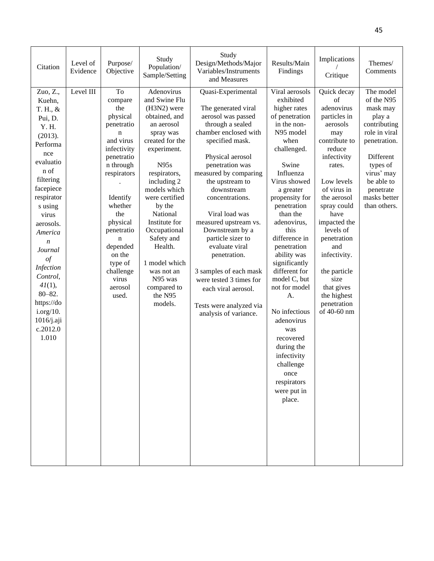| Citation                                                                                                                                                                                                                                                                                                                                           | Level of<br>Evidence | Purpose/<br>Objective                                                                                                                                                                                                                                             | Study<br>Population/<br>Sample/Setting                                                                                                                                                                                                                                                                                                                           | Study<br>Design/Methods/Major<br>Variables/Instruments<br>and Measures                                                                                                                                                                                                                                                                                                                                                                                                                                   | Results/Main<br>Findings                                                                                                                                                                                                                                                                                                                                                                                                                                                                                     | Implications<br>Critique                                                                                                                                                                                                                                                                                                                                | Themes/<br>Comments                                                                                                                                                                              |
|----------------------------------------------------------------------------------------------------------------------------------------------------------------------------------------------------------------------------------------------------------------------------------------------------------------------------------------------------|----------------------|-------------------------------------------------------------------------------------------------------------------------------------------------------------------------------------------------------------------------------------------------------------------|------------------------------------------------------------------------------------------------------------------------------------------------------------------------------------------------------------------------------------------------------------------------------------------------------------------------------------------------------------------|----------------------------------------------------------------------------------------------------------------------------------------------------------------------------------------------------------------------------------------------------------------------------------------------------------------------------------------------------------------------------------------------------------------------------------------------------------------------------------------------------------|--------------------------------------------------------------------------------------------------------------------------------------------------------------------------------------------------------------------------------------------------------------------------------------------------------------------------------------------------------------------------------------------------------------------------------------------------------------------------------------------------------------|---------------------------------------------------------------------------------------------------------------------------------------------------------------------------------------------------------------------------------------------------------------------------------------------------------------------------------------------------------|--------------------------------------------------------------------------------------------------------------------------------------------------------------------------------------------------|
| Zuo, Z.,<br>Kuehn,<br>T. H., &<br>Pui, D.<br>Y. H.<br>(2013).<br>Performa<br>nce<br>evaluatio<br>n of<br>filtering<br>facepiece<br>respirator<br>s using<br>virus<br>aerosols.<br>America<br>$\boldsymbol{n}$<br>Journal<br>$\iota$<br>Infection<br>Control,<br>41(1),<br>$80 - 82.$<br>https://do<br>i.org/10.<br>1016/j.aji<br>c.2012.0<br>1.010 | Level III            | To<br>compare<br>the<br>physical<br>penetratio<br>n<br>and virus<br>infectivity<br>penetratio<br>n through<br>respirators<br>Identify<br>whether<br>the<br>physical<br>penetratio<br>n<br>depended<br>on the<br>type of<br>challenge<br>virus<br>aerosol<br>used. | Adenovirus<br>and Swine Flu<br>(H3N2) were<br>obtained, and<br>an aerosol<br>spray was<br>created for the<br>experiment.<br>N95s<br>respirators,<br>including 2<br>models which<br>were certified<br>by the<br>National<br>Institute for<br>Occupational<br>Safety and<br>Health.<br>1 model which<br>was not an<br>N95 was<br>compared to<br>the N95<br>models. | Quasi-Experimental<br>The generated viral<br>aerosol was passed<br>through a sealed<br>chamber enclosed with<br>specified mask.<br>Physical aerosol<br>penetration was<br>measured by comparing<br>the upstream to<br>downstream<br>concentrations.<br>Viral load was<br>measured upstream vs.<br>Downstream by a<br>particle sizer to<br>evaluate viral<br>penetration.<br>3 samples of each mask<br>were tested 3 times for<br>each viral aerosol.<br>Tests were analyzed via<br>analysis of variance. | Viral aerosols<br>exhibited<br>higher rates<br>of penetration<br>in the non-<br>N95 model<br>when<br>challenged.<br>Swine<br>Influenza<br>Virus showed<br>a greater<br>propensity for<br>penetration<br>than the<br>adenovirus,<br>this<br>difference in<br>penetration<br>ability was<br>significantly<br>different for<br>model C, but<br>not for model<br>A.<br>No infectious<br>adenovirus<br>was<br>recovered<br>during the<br>infectivity<br>challenge<br>once<br>respirators<br>were put in<br>place. | Quick decay<br>$\sigma$ f<br>adenovirus<br>particles in<br>aerosols<br>may<br>contribute to<br>reduce<br>infectivity<br>rates.<br>Low levels<br>of virus in<br>the aerosol<br>spray could<br>have<br>impacted the<br>levels of<br>penetration<br>and<br>infectivity.<br>the particle<br>size<br>that gives<br>the highest<br>penetration<br>of 40-60 nm | The model<br>of the N95<br>mask may<br>play a<br>contributing<br>role in viral<br>penetration.<br>Different<br>types of<br>virus' may<br>be able to<br>penetrate<br>masks better<br>than others. |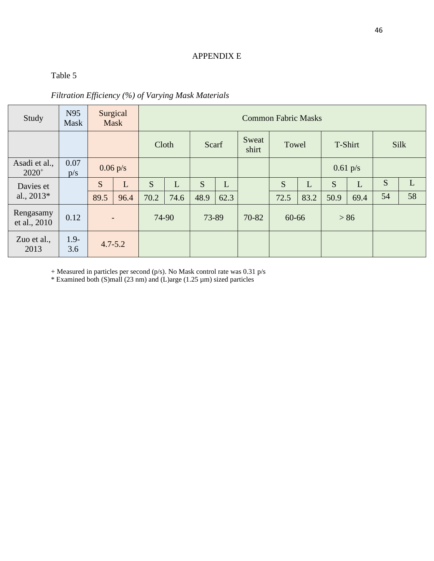## APPENDIX E

# Table 5

| Filtration Efficiency (%) of Varying Mask Materials |  |  |  |  |  |
|-----------------------------------------------------|--|--|--|--|--|
|-----------------------------------------------------|--|--|--|--|--|

| Study                     | N95<br>Mask    |                    | Surgical<br>Mask         |       | <b>Common Fabric Masks</b> |       |      |                |       |      |            |        |             |    |
|---------------------------|----------------|--------------------|--------------------------|-------|----------------------------|-------|------|----------------|-------|------|------------|--------|-------------|----|
|                           |                |                    |                          | Cloth |                            | Scarf |      | Sweat<br>shirt | Towel |      | T-Shirt    |        | <b>Silk</b> |    |
| Asadi et al.,<br>$2020^+$ | 0.07<br>p/s    | $0.06 \text{ p/s}$ |                          |       |                            |       |      |                |       |      | $0.61$ p/s |        |             |    |
| Davies et                 |                | S                  | L                        | S     | L                          | S     | L    |                | S     | L    | S          | L      | S           | L  |
| al., $2013*$              |                | 89.5               | 96.4                     | 70.2  | 74.6                       | 48.9  | 62.3 |                | 72.5  | 83.2 | 50.9       | 69.4   | 54          | 58 |
| Rengasamy<br>et al., 2010 | 0.12           |                    | $\overline{\phantom{a}}$ |       | 74-90                      | 73-89 |      | 70-82          | 60-66 |      |            | $> 86$ |             |    |
| Zuo et al.,<br>2013       | $1.9 -$<br>3.6 | $4.7 - 5.2$        |                          |       |                            |       |      |                |       |      |            |        |             |    |

+ Measured in particles per second (p/s). No Mask control rate was 0.31 p/s

\* Examined both (S)mall (23 nm) and (L)arge (1.25 µm) sized particles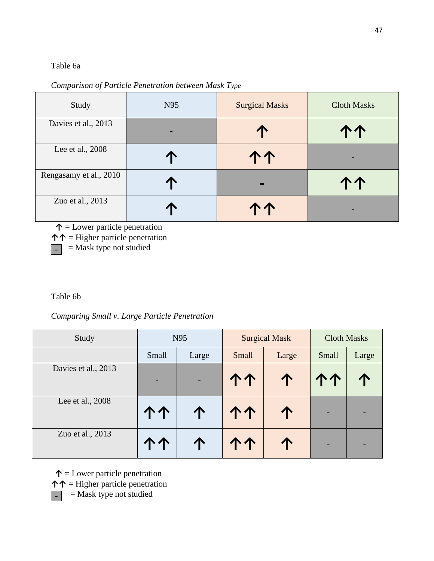### Table 6a

*Comparison of Particle Penetration between Mask Type*

| Study                  | N95 | <b>Surgical Masks</b> | <b>Cloth Masks</b> |
|------------------------|-----|-----------------------|--------------------|
| Davies et al., 2013    |     | T                     | 个个                 |
| Lee et al., 2008       |     | 个个                    |                    |
| Rengasamy et al., 2010 | 个   |                       |                    |
| Zuo et al., 2013       |     |                       |                    |

**↑** = Lower particle penetration

**↑↑** = Higher particle penetration

 $\Box$  = Mask type not studied

Table 6b

*Comparing Small v. Large Particle Penetration*

| Study               |       | N95   |       | <b>Surgical Mask</b> | <b>Cloth Masks</b>       |       |  |
|---------------------|-------|-------|-------|----------------------|--------------------------|-------|--|
|                     | Small | Large | Small | Large                | Small                    | Large |  |
| Davies et al., 2013 |       |       |       |                      |                          |       |  |
| Lee et al., 2008    | 个个    | 个     | 个个    |                      | $\overline{\phantom{0}}$ |       |  |
| Zuo et al., 2013    |       |       |       |                      |                          |       |  |

 **↑** = Lower particle penetration

**↑↑** = Higher particle penetration

 $\blacksquare$  = Mask type not studied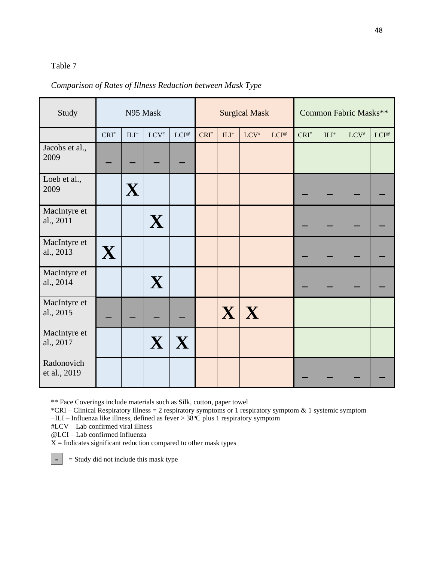### Table 7

### *Comparison of Rates of Illness Reduction between Mask Type*

| Study                      | N95 Mask |                         |              |                              | <b>Surgical Mask</b> |        |                         |                |         | Common Fabric Masks** |         |         |  |
|----------------------------|----------|-------------------------|--------------|------------------------------|----------------------|--------|-------------------------|----------------|---------|-----------------------|---------|---------|--|
|                            | $CRI^*$  | $\mathrm{ILI}^+$        | $LCV^{\#}$   | $LCI^\text{\textregistered}$ | $CRI^*$              | $ILI+$ | $LCV^*$                 | $LCI^{\omega}$ | $CRI^*$ | $\mathrm{ILI}^+$      | $LCV^*$ | $LCI^@$ |  |
| Jacobs et al.,<br>2009     |          |                         |              |                              |                      |        |                         |                |         |                       |         |         |  |
| Loeb et al.,<br>2009       |          | $\overline{\mathbf{X}}$ |              |                              |                      |        |                         |                |         |                       |         |         |  |
| MacIntyre et<br>al., 2011  |          |                         | X            |                              |                      |        |                         |                |         |                       |         |         |  |
| MacIntyre et<br>al., 2013  | X        |                         |              |                              |                      |        |                         |                |         |                       |         |         |  |
| MacIntyre et<br>al., 2014  |          |                         | $\mathbf{X}$ |                              |                      |        |                         |                |         |                       |         |         |  |
| MacIntyre et<br>al., 2015  |          |                         |              |                              |                      |        | $\mathbf{X} \mathbf{X}$ |                |         |                       |         |         |  |
| MacIntyre et<br>al., 2017  |          |                         | $\mathbf{X}$ | X                            |                      |        |                         |                |         |                       |         |         |  |
| Radonovich<br>et al., 2019 |          |                         |              |                              |                      |        |                         |                |         |                       |         |         |  |

\*\* Face Coverings include materials such as Silk, cotton, paper towel

\*CRI – Clinical Respiratory Illness = 2 respiratory symptoms or 1 respiratory symptom & 1 systemic symptom

+ILI – Influenza like illness, defined as fever > 38°C plus 1 respiratory symptom

#LCV – Lab confirmed viral illness

@LCI – Lab confirmed Influenza

**-**

 $X =$  Indicates significant reduction compared to other mask types

= Study did not include this mask type